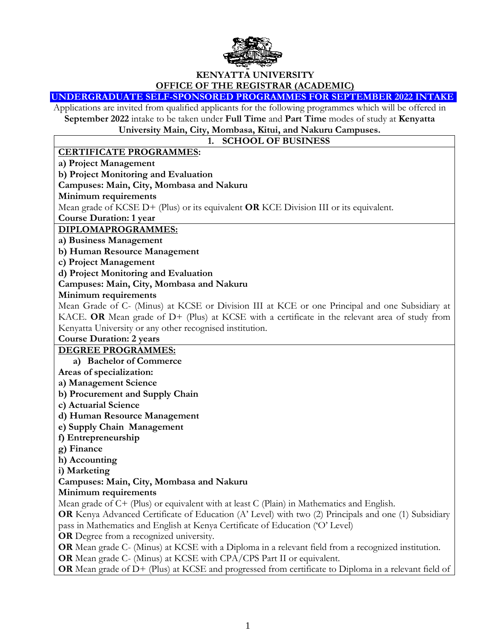

# **KENYATTA UNIVERSITY OFFICE OF THE REGISTRAR (ACADEMIC)**

#### **UNDERGRADUATE SELF-SPONSORED PROGRAMMES FOR SEPTEMBER 2022 INTAKE**

Applications are invited from qualified applicants for the following programmes which will be offered in **September 2022** intake to be taken under **Full Time** and **Part Time** modes of study at **Kenyatta** 

**University Main, City, Mombasa, Kitui, and Nakuru Campuses.**

# **1. SCHOOL OF BUSINESS**

#### **CERTIFICATE PROGRAMMES:**

**a) Project Management** 

**b) Project Monitoring and Evaluation**

**Campuses: Main, City, Mombasa and Nakuru**

**Minimum requirements**

Mean grade of KCSE D+ (Plus) or its equivalent **OR** KCE Division III or its equivalent.

**Course Duration: 1 year**

**DIPLOMAPROGRAMMES:**

**a) Business Management** 

**b) Human Resource Management** 

**c) Project Management** 

**d) Project Monitoring and Evaluation** 

**Campuses: Main, City, Mombasa and Nakuru**

**Minimum requirements**

Mean Grade of C- (Minus) at KCSE or Division III at KCE or one Principal and one Subsidiary at KACE. **OR** Mean grade of D+ (Plus) at KCSE with a certificate in the relevant area of study from Kenyatta University or any other recognised institution.

**Course Duration: 2 years**

#### **DEGREE PROGRAMMES:**

**a) Bachelor of Commerce**

**Areas of specialization:**

**a) Management Science** 

**b) Procurement and Supply Chain** 

**c) Actuarial Science** 

**d) Human Resource Management** 

**e) Supply Chain Management** 

**f) Entrepreneurship** 

**g) Finance** 

**h) Accounting**

**i) Marketing** 

# **Campuses: Main, City, Mombasa and Nakuru**

**Minimum requirements**

Mean grade of C+ (Plus) or equivalent with at least C (Plain) in Mathematics and English.

**OR** Kenya Advanced Certificate of Education (A' Level) with two (2) Principals and one (1) Subsidiary pass in Mathematics and English at Kenya Certificate of Education ('O' Level)

**OR** Degree from a recognized university.

**OR** Mean grade C- (Minus) at KCSE with a Diploma in a relevant field from a recognized institution.

**OR** Mean grade C- (Minus) at KCSE with CPA/CPS Part II or equivalent.

**OR** Mean grade of D+ (Plus) at KCSE and progressed from certificate to Diploma in a relevant field of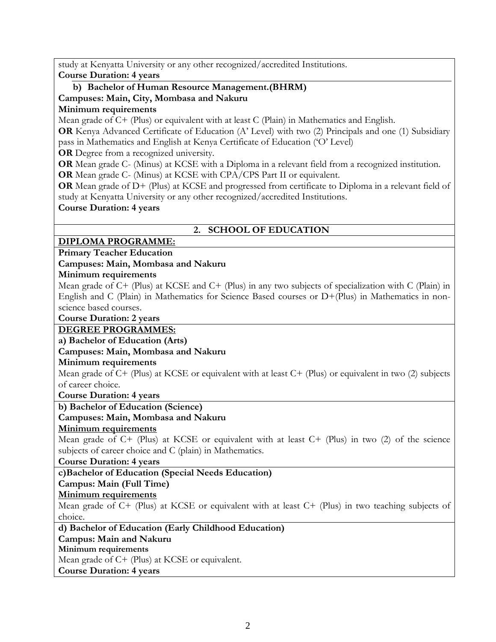study at Kenyatta University or any other recognized/accredited Institutions.

**Course Duration: 4 years**

#### **b) Bachelor of Human Resource Management.(BHRM) Campuses: Main, City, Mombasa and Nakuru Minimum requirements**

Mean grade of C+ (Plus) or equivalent with at least C (Plain) in Mathematics and English.

**OR** Kenya Advanced Certificate of Education (A' Level) with two (2) Principals and one (1) Subsidiary pass in Mathematics and English at Kenya Certificate of Education ('O' Level)

**OR** Degree from a recognized university.

**OR** Mean grade C- (Minus) at KCSE with a Diploma in a relevant field from a recognized institution. **OR** Mean grade C- (Minus) at KCSE with CPA/CPS Part II or equivalent.

**OR** Mean grade of D+ (Plus) at KCSE and progressed from certificate to Diploma in a relevant field of study at Kenyatta University or any other recognized/accredited Institutions.

**Course Duration: 4 years**

# **2. SCHOOL OF EDUCATION**

# **DIPLOMA PROGRAMME:**

**Primary Teacher Education** 

# **Campuses: Main, Mombasa and Nakuru**

# **Minimum requirements**

Mean grade of C+ (Plus) at KCSE and C+ (Plus) in any two subjects of specialization with C (Plain) in English and C (Plain) in Mathematics for Science Based courses or D+(Plus) in Mathematics in nonscience based courses.

**Course Duration: 2 years**

# **DEGREE PROGRAMMES:**

**a) Bachelor of Education (Arts)**

# **Campuses: Main, Mombasa and Nakuru**

# **Minimum requirements**

Mean grade of C+ (Plus) at KCSE or equivalent with at least C+ (Plus) or equivalent in two (2) subjects of career choice.

**Course Duration: 4 years**

# **b) Bachelor of Education (Science)**

# **Campuses: Main, Mombasa and Nakuru**

# **Minimum requirements**

Mean grade of C+ (Plus) at KCSE or equivalent with at least C+ (Plus) in two (2) of the science subjects of career choice and C (plain) in Mathematics.

**Course Duration: 4 years**

# **c)Bachelor of Education (Special Needs Education)**

# **Campus: Main (Full Time)**

# **Minimum requirements**

Mean grade of C+ (Plus) at KCSE or equivalent with at least C+ (Plus) in two teaching subjects of choice.

**d) Bachelor of Education (Early Childhood Education)**

# **Campus: Main and Nakuru**

# **Minimum requirements**

Mean grade of C+ (Plus) at KCSE or equivalent.

**Course Duration: 4 years**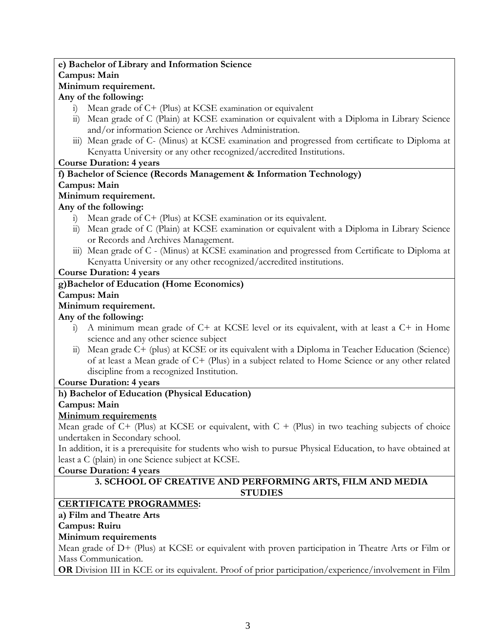# **e) Bachelor of Library and Information Science Campus: Main Minimum requirement.**

# **Any of the following:**

- i) Mean grade of C+ (Plus) at KCSE examination or equivalent
- ii) Mean grade of C (Plain) at KCSE examination or equivalent with a Diploma in Library Science and/or information Science or Archives Administration.
- iii) Mean grade of C- (Minus) at KCSE examination and progressed from certificate to Diploma at Kenyatta University or any other recognized/accredited Institutions.

# **Course Duration: 4 years**

# **f) Bachelor of Science (Records Management & Information Technology)**

# **Campus: Main**

# **Minimum requirement.**

# **Any of the following:**

- i) Mean grade of C+ (Plus) at KCSE examination or its equivalent.
- ii) Mean grade of C (Plain) at KCSE examination or equivalent with a Diploma in Library Science or Records and Archives Management.
- iii) Mean grade of C (Minus) at KCSE examination and progressed from Certificate to Diploma at Kenyatta University or any other recognized/accredited institutions.

# **Course Duration: 4 years**

# **g)Bachelor of Education (Home Economics)**

#### **Campus: Main**

# **Minimum requirement.**

# **Any of the following:**

- i) A minimum mean grade of C+ at KCSE level or its equivalent, with at least a C+ in Home science and any other science subject
- ii) Mean grade C+ (plus) at KCSE or its equivalent with a Diploma in Teacher Education (Science) of at least a Mean grade of C+ (Plus) in a subject related to Home Science or any other related discipline from a recognized Institution.

# **Course Duration: 4 years**

# **h) Bachelor of Education (Physical Education)**

# **Campus: Main**

# **Minimum requirements**

Mean grade of  $C+$  (Plus) at KCSE or equivalent, with  $C+$  (Plus) in two teaching subjects of choice undertaken in Secondary school.

In addition, it is a prerequisite for students who wish to pursue Physical Education, to have obtained at least a C (plain) in one Science subject at KCSE.

# **Course Duration: 4 years**

#### **3. SCHOOL OF CREATIVE AND PERFORMING ARTS, FILM AND MEDIA STUDIES**

# **CERTIFICATE PROGRAMMES:**

# **a) Film and Theatre Arts**

# **Campus: Ruiru**

# **Minimum requirements**

Mean grade of D+ (Plus) at KCSE or equivalent with proven participation in Theatre Arts or Film or Mass Communication.

**OR** Division III in KCE or its equivalent. Proof of prior participation/experience/involvement in Film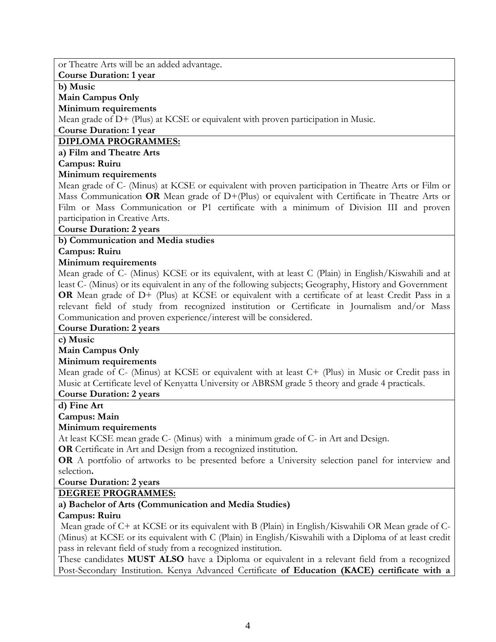or Theatre Arts will be an added advantage.

**Course Duration: 1 year**

**b) Music**

#### **Main Campus Only**

#### **Minimum requirements**

Mean grade of D+ (Plus) at KCSE or equivalent with proven participation in Music.

#### **Course Duration: 1 year**

# **DIPLOMA PROGRAMMES:**

#### **a) Film and Theatre Arts**

#### **Campus: Ruiru**

# **Minimum requirements**

Mean grade of C- (Minus) at KCSE or equivalent with proven participation in Theatre Arts or Film or Mass Communication **OR** Mean grade of D+(Plus) or equivalent with Certificate in Theatre Arts or Film or Mass Communication or P1 certificate with a minimum of Division III and proven participation in Creative Arts.

#### **Course Duration: 2 years**

# **b) Communication and Media studies**

# **Campus: Ruiru**

# **Minimum requirements**

Mean grade of C- (Minus) KCSE or its equivalent, with at least C (Plain) in English/Kiswahili and at least C- (Minus) or its equivalent in any of the following subjects; Geography, History and Government **OR** Mean grade of D+ (Plus) at KCSE or equivalent with a certificate of at least Credit Pass in a relevant field of study from recognized institution or Certificate in Journalism and/or Mass Communication and proven experience/interest will be considered.

# **Course Duration: 2 years**

# **c) Music**

# **Main Campus Only**

# **Minimum requirements**

Mean grade of C- (Minus) at KCSE or equivalent with at least C+ (Plus) in Music or Credit pass in Music at Certificate level of Kenyatta University or ABRSM grade 5 theory and grade 4 practicals.

# **Course Duration: 2 years**

**d) Fine Art**

# **Campus: Main**

# **Minimum requirements**

At least KCSE mean grade C- (Minus) with a minimum grade of C- in Art and Design.

**OR** Certificate in Art and Design from a recognized institution.

**OR** A portfolio of artworks to be presented before a University selection panel for interview and selection**.**

# **Course Duration: 2 years**

# **DEGREE PROGRAMMES:**

# **a) Bachelor of Arts (Communication and Media Studies)**

# **Campus: Ruiru**

Mean grade of C+ at KCSE or its equivalent with B (Plain) in English/Kiswahili OR Mean grade of C- (Minus) at KCSE or its equivalent with C (Plain) in English/Kiswahili with a Diploma of at least credit pass in relevant field of study from a recognized institution.

These candidates **MUST ALSO** have a Diploma or equivalent in a relevant field from a recognized Post-Secondary Institution. Kenya Advanced Certificate **of Education (KACE) certificate with a**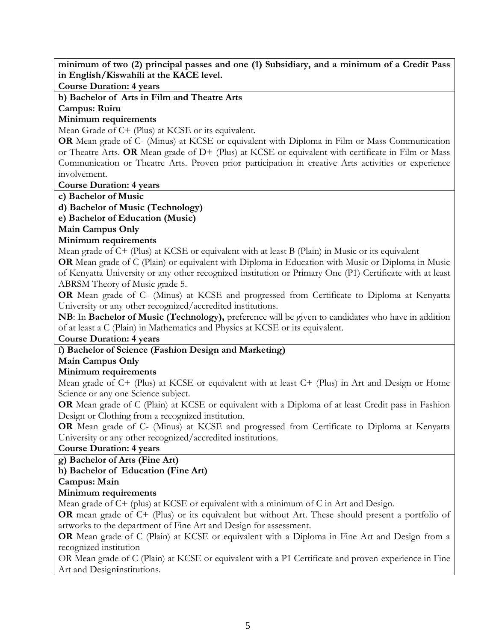**minimum of two (2) principal passes and one (1) Subsidiary, and a minimum of a Credit Pass in English/Kiswahili at the KACE level.**

**Course Duration: 4 years**

**b) Bachelor of Arts in Film and Theatre Arts Campus: Ruiru**

**Minimum requirements**

Mean Grade of C+ (Plus) at KCSE or its equivalent.

**OR** Mean grade of C- (Minus) at KCSE or equivalent with Diploma in Film or Mass Communication or Theatre Arts. **OR** Mean grade of D+ (Plus) at KCSE or equivalent with certificate in Film or Mass Communication or Theatre Arts. Proven prior participation in creative Arts activities or experience involvement.

**Course Duration: 4 years**

**c) Bachelor of Music** 

**d) Bachelor of Music (Technology)**

**e) Bachelor of Education (Music)**

**Main Campus Only**

#### **Minimum requirements**

Mean grade of C+ (Plus) at KCSE or equivalent with at least B (Plain) in Music or its equivalent

**OR** Mean grade of C (Plain) or equivalent with Diploma in Education with Music or Diploma in Music of Kenyatta University or any other recognized institution or Primary One (P1) Certificate with at least ABRSM Theory of Music grade 5.

**OR** Mean grade of C- (Minus) at KCSE and progressed from Certificate to Diploma at Kenyatta University or any other recognized/accredited institutions.

**NB**: In **Bachelor of Music (Technology),** preference will be given to candidates who have in addition of at least a C (Plain) in Mathematics and Physics at KCSE or its equivalent.

#### **Course Duration: 4 years**

# **f) Bachelor of Science (Fashion Design and Marketing)**

# **Main Campus Only**

# **Minimum requirements**

Mean grade of C+ (Plus) at KCSE or equivalent with at least C+ (Plus) in Art and Design or Home Science or any one Science subject.

**OR** Mean grade of C (Plain) at KCSE or equivalent with a Diploma of at least Credit pass in Fashion Design or Clothing from a recognized institution.

**OR** Mean grade of C- (Minus) at KCSE and progressed from Certificate to Diploma at Kenyatta University or any other recognized/accredited institutions.

#### **Course Duration: 4 years**

**g) Bachelor of Arts (Fine Art)** 

# **h) Bachelor of Education (Fine Art)**

#### **Campus: Main**

# **Minimum requirements**

Mean grade of C+ (plus) at KCSE or equivalent with a minimum of C in Art and Design.

**OR** mean grade of C+ (Plus) or its equivalent but without Art. These should present a portfolio of artworks to the department of Fine Art and Design for assessment.

**OR** Mean grade of C (Plain) at KCSE or equivalent with a Diploma in Fine Art and Design from a recognized institution

OR Mean grade of C (Plain) at KCSE or equivalent with a P1 Certificate and proven experience in Fine Art and Design**i**nstitutions.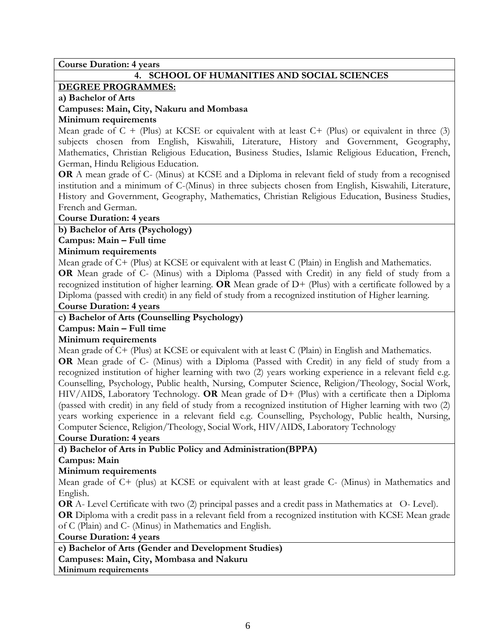**Course Duration: 4 years**

# **4. SCHOOL OF HUMANITIES AND SOCIAL SCIENCES**

#### **DEGREE PROGRAMMES:**

#### **a) Bachelor of Arts**

#### **Campuses: Main, City, Nakuru and Mombasa**

#### **Minimum requirements**

Mean grade of  $C + (Plus)$  at KCSE or equivalent with at least  $C + (Plus)$  or equivalent in three (3) subjects chosen from English, Kiswahili, Literature, History and Government, Geography, Mathematics, Christian Religious Education, Business Studies, Islamic Religious Education, French, German, Hindu Religious Education.

**OR** A mean grade of C- (Minus) at KCSE and a Diploma in relevant field of study from a recognised institution and a minimum of C-(Minus) in three subjects chosen from English, Kiswahili, Literature, History and Government, Geography, Mathematics, Christian Religious Education, Business Studies, French and German.

#### **Course Duration: 4 years**

#### **b) Bachelor of Arts (Psychology)**

#### **Campus: Main – Full time**

#### **Minimum requirements**

Mean grade of C+ (Plus) at KCSE or equivalent with at least C (Plain) in English and Mathematics.

**OR** Mean grade of C- (Minus) with a Diploma (Passed with Credit) in any field of study from a recognized institution of higher learning. **OR** Mean grade of D+ (Plus) with a certificate followed by a Diploma (passed with credit) in any field of study from a recognized institution of Higher learning.

#### **Course Duration: 4 years**

# **c) Bachelor of Arts (Counselling Psychology)**

# **Campus: Main – Full time**

# **Minimum requirements**

Mean grade of C+ (Plus) at KCSE or equivalent with at least C (Plain) in English and Mathematics.

**OR** Mean grade of C- (Minus) with a Diploma (Passed with Credit) in any field of study from a recognized institution of higher learning with two (2) years working experience in a relevant field e.g. Counselling, Psychology, Public health, Nursing, Computer Science, Religion/Theology, Social Work, HIV/AIDS, Laboratory Technology. **OR** Mean grade of D+ (Plus) with a certificate then a Diploma (passed with credit) in any field of study from a recognized institution of Higher learning with two (2) years working experience in a relevant field e.g. Counselling, Psychology, Public health, Nursing, Computer Science, Religion/Theology, Social Work, HIV/AIDS, Laboratory Technology

**Course Duration: 4 years** 

# **d) Bachelor of Arts in Public Policy and Administration(BPPA)**

# **Campus: Main**

# **Minimum requirements**

Mean grade of C+ (plus) at KCSE or equivalent with at least grade C- (Minus) in Mathematics and English.

**OR** A- Level Certificate with two (2) principal passes and a credit pass in Mathematics at O- Level).

**OR** Diploma with a credit pass in a relevant field from a recognized institution with KCSE Mean grade of C (Plain) and C- (Minus) in Mathematics and English.

**Course Duration: 4 years** 

**e) Bachelor of Arts (Gender and Development Studies) Campuses: Main, City, Mombasa and Nakuru Minimum requirements**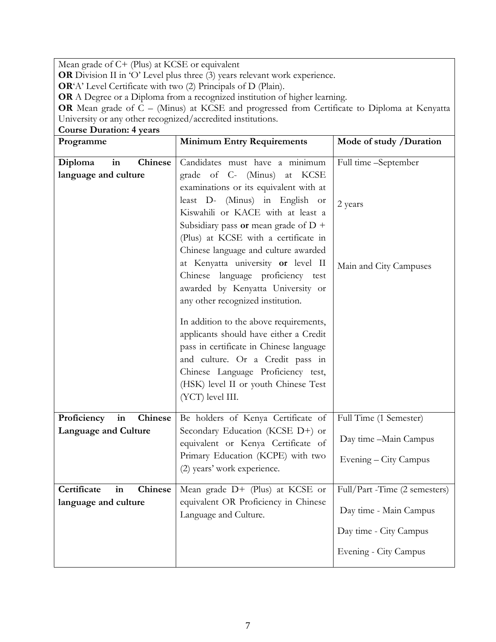Mean grade of C+ (Plus) at KCSE or equivalent

**OR** Division II in 'O' Level plus three (3) years relevant work experience.

**OR**'A' Level Certificate with two (2) Principals of D (Plain).

**OR** A Degree or a Diploma from a recognized institution of higher learning.

**OR** Mean grade of C – (Minus) at KCSE and progressed from Certificate to Diploma at Kenyatta University or any other recognized/accredited institutions.

| <b>Course Duration: 4 years</b>                  |                                                               |                               |
|--------------------------------------------------|---------------------------------------------------------------|-------------------------------|
| Programme                                        | <b>Minimum Entry Requirements</b>                             | Mode of study / Duration      |
|                                                  |                                                               |                               |
| in<br>Chinese<br>Diploma<br>language and culture | Candidates must have a minimum<br>grade of C- (Minus) at KCSE | Full time -September          |
|                                                  | examinations or its equivalent with at                        |                               |
|                                                  | least D- (Minus) in English or                                | 2 years                       |
|                                                  | Kiswahili or KACE with at least a                             |                               |
|                                                  | Subsidiary pass or mean grade of $D +$                        |                               |
|                                                  | (Plus) at KCSE with a certificate in                          |                               |
|                                                  | Chinese language and culture awarded                          |                               |
|                                                  | at Kenyatta university or level II                            | Main and City Campuses        |
|                                                  | Chinese language proficiency test                             |                               |
|                                                  | awarded by Kenyatta University or                             |                               |
|                                                  | any other recognized institution.                             |                               |
|                                                  |                                                               |                               |
|                                                  | In addition to the above requirements,                        |                               |
|                                                  | applicants should have either a Credit                        |                               |
|                                                  | pass in certificate in Chinese language                       |                               |
|                                                  | and culture. Or a Credit pass in                              |                               |
|                                                  | Chinese Language Proficiency test,                            |                               |
|                                                  | (HSK) level II or youth Chinese Test                          |                               |
|                                                  | (YCT) level III.                                              |                               |
| in<br>Chinese<br>Proficiency                     | Be holders of Kenya Certificate of                            | Full Time (1 Semester)        |
| Language and Culture                             | Secondary Education (KCSE D+) or                              |                               |
|                                                  | equivalent or Kenya Certificate of                            | Day time -Main Campus         |
|                                                  | Primary Education (KCPE) with two                             | Evening – City Campus         |
|                                                  | (2) years' work experience.                                   |                               |
|                                                  |                                                               |                               |
| Certificate<br>in<br><b>Chinese</b>              | Mean grade D+ (Plus) at KCSE or                               | Full/Part -Time (2 semesters) |
| language and culture                             | equivalent OR Proficiency in Chinese<br>Language and Culture. | Day time - Main Campus        |
|                                                  |                                                               | Day time - City Campus        |
|                                                  |                                                               | Evening - City Campus         |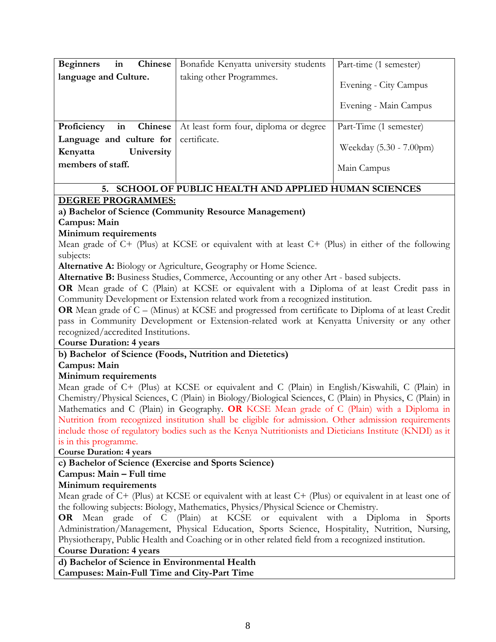| <b>Beginners</b><br><b>Chinese</b><br>in                                | Bonafide Kenyatta university students | Part-time (1 semester)                         |
|-------------------------------------------------------------------------|---------------------------------------|------------------------------------------------|
| language and Culture.                                                   | taking other Programmes.              | Evening - City Campus<br>Evening - Main Campus |
| in Chinese<br>Proficiency                                               | At least form four, diploma or degree | Part-Time (1 semester)                         |
| Language and culture for<br>University<br>Kenyatta<br>members of staff. | certificate.                          | Weekday (5.30 - 7.00pm)<br>Main Campus         |

# **5. SCHOOL OF PUBLIC HEALTH AND APPLIED HUMAN SCIENCES**

# **DEGREE PROGRAMMES:**

# **a) Bachelor of Science (Community Resource Management)**

**Campus: Main** 

#### **Minimum requirements**

Mean grade of C+ (Plus) at KCSE or equivalent with at least C+ (Plus) in either of the following subjects:

**Alternative A:** Biology or Agriculture, Geography or Home Science.

**Alternative B:** Business Studies, Commerce, Accounting or any other Art - based subjects.

**OR** Mean grade of C (Plain) at KCSE or equivalent with a Diploma of at least Credit pass in Community Development or Extension related work from a recognized institution.

**OR** Mean grade of C – (Minus) at KCSE and progressed from certificate to Diploma of at least Credit pass in Community Development or Extension-related work at Kenyatta University or any other recognized/accredited Institutions.

#### **Course Duration: 4 years**

# **b) Bachelor of Science (Foods, Nutrition and Dietetics)**

**Campus: Main** 

# **Minimum requirements**

Mean grade of C+ (Plus) at KCSE or equivalent and C (Plain) in English/Kiswahili, C (Plain) in Chemistry/Physical Sciences, C (Plain) in Biology/Biological Sciences, C (Plain) in Physics, C (Plain) in Mathematics and C (Plain) in Geography. **OR** KCSE Mean grade of C (Plain) with a Diploma in Nutrition from recognized institution shall be eligible for admission. Other admission requirements include those of regulatory bodies such as the Kenya Nutritionists and Dieticians Institute (KNDI) as it is in this programme.

**Course Duration: 4 years**

# **c) Bachelor of Science (Exercise and Sports Science)**

# **Campus: Main – Full time**

# **Minimum requirements**

Mean grade of C+ (Plus) at KCSE or equivalent with at least C+ (Plus) or equivalent in at least one of the following subjects: Biology, Mathematics, Physics/Physical Science or Chemistry.

**OR** Mean grade of C (Plain) at KCSE or equivalent with a Diploma in Sports Administration/Management, Physical Education, Sports Science, Hospitality, Nutrition, Nursing, Physiotherapy, Public Health and Coaching or in other related field from a recognized institution.

#### **Course Duration: 4 years**

**d) Bachelor of Science in Environmental Health Campuses: Main-Full Time and City-Part Time**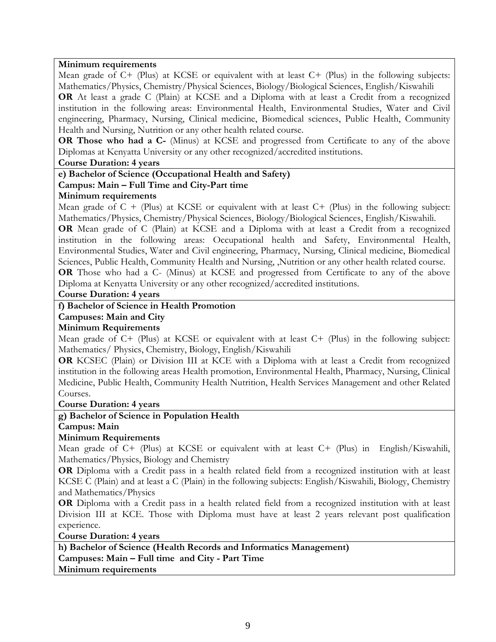#### **Minimum requirements**

Mean grade of C+ (Plus) at KCSE or equivalent with at least C+ (Plus) in the following subjects: Mathematics/Physics, Chemistry/Physical Sciences, Biology/Biological Sciences, English/Kiswahili

**OR** At least a grade C (Plain) at KCSE and a Diploma with at least a Credit from a recognized institution in the following areas: Environmental Health, Environmental Studies, Water and Civil engineering, Pharmacy, Nursing, Clinical medicine, Biomedical sciences, Public Health, Community Health and Nursing, Nutrition or any other health related course.

**OR Those who had a C-** (Minus) at KCSE and progressed from Certificate to any of the above Diplomas at Kenyatta University or any other recognized/accredited institutions.

#### **Course Duration: 4 years**

#### **e) Bachelor of Science (Occupational Health and Safety)**

#### **Campus: Main – Full Time and City-Part time**

#### **Minimum requirements**

Mean grade of  $C +$  (Plus) at KCSE or equivalent with at least  $C +$  (Plus) in the following subject: Mathematics/Physics, Chemistry/Physical Sciences, Biology/Biological Sciences, English/Kiswahili.

**OR** Mean grade of C (Plain) at KCSE and a Diploma with at least a Credit from a recognized institution in the following areas: Occupational health and Safety, Environmental Health, Environmental Studies, Water and Civil engineering, Pharmacy, Nursing, Clinical medicine, Biomedical Sciences, Public Health, Community Health and Nursing, ,Nutrition or any other health related course.

**OR** Those who had a C- (Minus) at KCSE and progressed from Certificate to any of the above Diploma at Kenyatta University or any other recognized/accredited institutions.

**Course Duration: 4 years**

#### **f) Bachelor of Science in Health Promotion**

**Campuses: Main and City** 

#### **Minimum Requirements**

Mean grade of C+ (Plus) at KCSE or equivalent with at least C+ (Plus) in the following subject: Mathematics/ Physics, Chemistry, Biology, English/Kiswahili

**OR** KCSEC (Plain) or Division III at KCE with a Diploma with at least a Credit from recognized institution in the following areas Health promotion, Environmental Health, Pharmacy, Nursing, Clinical Medicine, Public Health, Community Health Nutrition, Health Services Management and other Related Courses.

#### **Course Duration: 4 years**

#### **g) Bachelor of Science in Population Health**

**Campus: Main** 

#### **Minimum Requirements**

Mean grade of C+ (Plus) at KCSE or equivalent with at least C+ (Plus) in English/Kiswahili, Mathematics/Physics, Biology and Chemistry

**OR** Diploma with a Credit pass in a health related field from a recognized institution with at least KCSE C (Plain) and at least a C (Plain) in the following subjects: English/Kiswahili, Biology, Chemistry and Mathematics/Physics

**OR** Diploma with a Credit pass in a health related field from a recognized institution with at least Division III at KCE. Those with Diploma must have at least 2 years relevant post qualification experience.

**Course Duration: 4 years**

**h) Bachelor of Science (Health Records and Informatics Management) Campuses: Main – Full time and City - Part Time Minimum requirements**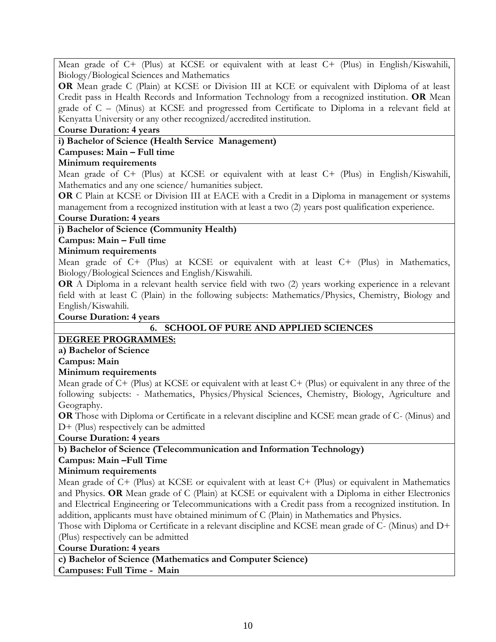Mean grade of C+ (Plus) at KCSE or equivalent with at least C+ (Plus) in English/Kiswahili, Biology/Biological Sciences and Mathematics

**OR** Mean grade C (Plain) at KCSE or Division III at KCE or equivalent with Diploma of at least Credit pass in Health Records and Information Technology from a recognized institution. **OR** Mean grade of C – (Minus) at KCSE and progressed from Certificate to Diploma in a relevant field at Kenyatta University or any other recognized/accredited institution.

#### **Course Duration: 4 years**

#### **i) Bachelor of Science (Health Service Management)**

#### **Campuses: Main – Full time**

#### **Minimum requirements**

Mean grade of C+ (Plus) at KCSE or equivalent with at least C+ (Plus) in English/Kiswahili, Mathematics and any one science/ humanities subject.

**OR** C Plain at KCSE or Division III at EACE with a Credit in a Diploma in management or systems management from a recognized institution with at least a two (2) years post qualification experience.

#### **Course Duration: 4 years**

**j) Bachelor of Science (Community Health)** 

#### **Campus: Main – Full time**

#### **Minimum requirements**

Mean grade of C+ (Plus) at KCSE or equivalent with at least C+ (Plus) in Mathematics, Biology/Biological Sciences and English/Kiswahili.

**OR** A Diploma in a relevant health service field with two (2) years working experience in a relevant field with at least C (Plain) in the following subjects: Mathematics/Physics, Chemistry, Biology and English/Kiswahili.

#### **Course Duration: 4 years**

# **6. SCHOOL OF PURE AND APPLIED SCIENCES**

#### **DEGREE PROGRAMMES:**

**a) Bachelor of Science**

#### **Campus: Main**

#### **Minimum requirements**

Mean grade of C+ (Plus) at KCSE or equivalent with at least C+ (Plus) or equivalent in any three of the following subjects: - Mathematics, Physics/Physical Sciences, Chemistry, Biology, Agriculture and Geography.

**OR** Those with Diploma or Certificate in a relevant discipline and KCSE mean grade of C- (Minus) and D+ (Plus) respectively can be admitted

**Course Duration: 4 years**

# **b) Bachelor of Science (Telecommunication and Information Technology)**

#### **Campus: Main –Full Time**

#### **Minimum requirements**

Mean grade of C+ (Plus) at KCSE or equivalent with at least C+ (Plus) or equivalent in Mathematics and Physics. **OR** Mean grade of C (Plain) at KCSE or equivalent with a Diploma in either Electronics and Electrical Engineering or Telecommunications with a Credit pass from a recognized institution. In addition, applicants must have obtained minimum of C (Plain) in Mathematics and Physics.

Those with Diploma or Certificate in a relevant discipline and KCSE mean grade of C- (Minus) and D+ (Plus) respectively can be admitted

**Course Duration: 4 years**

**c) Bachelor of Science (Mathematics and Computer Science)** 

**Campuses: Full Time - Main**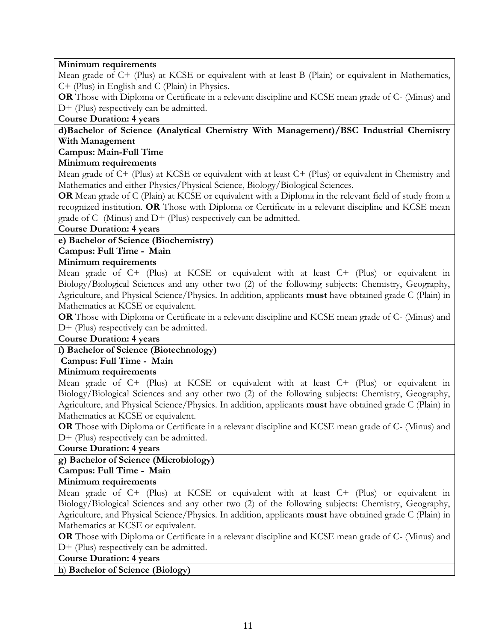#### **Minimum requirements**

Mean grade of C+ (Plus) at KCSE or equivalent with at least B (Plain) or equivalent in Mathematics, C+ (Plus) in English and C (Plain) in Physics.

**OR** Those with Diploma or Certificate in a relevant discipline and KCSE mean grade of C- (Minus) and D+ (Plus) respectively can be admitted.

#### **Course Duration: 4 years**

#### **d)Bachelor of Science (Analytical Chemistry With Management)/BSC Industrial Chemistry With Management**

#### **Campus: Main-Full Time**

#### **Minimum requirements**

Mean grade of C+ (Plus) at KCSE or equivalent with at least C+ (Plus) or equivalent in Chemistry and Mathematics and either Physics/Physical Science, Biology/Biological Sciences.

**OR** Mean grade of C (Plain) at KCSE or equivalent with a Diploma in the relevant field of study from a recognized institution. **OR** Those with Diploma or Certificate in a relevant discipline and KCSE mean grade of C- (Minus) and D+ (Plus) respectively can be admitted.

#### **Course Duration: 4 years**

#### **e) Bachelor of Science (Biochemistry)**

# **Campus: Full Time - Main**

#### **Minimum requirements**

Mean grade of C+ (Plus) at KCSE or equivalent with at least C+ (Plus) or equivalent in Biology/Biological Sciences and any other two (2) of the following subjects: Chemistry, Geography, Agriculture, and Physical Science/Physics. In addition, applicants **must** have obtained grade C (Plain) in Mathematics at KCSE or equivalent.

**OR** Those with Diploma or Certificate in a relevant discipline and KCSE mean grade of C- (Minus) and D+ (Plus) respectively can be admitted.

#### **Course Duration: 4 years**

#### **f) Bachelor of Science (Biotechnology)**

#### **Campus: Full Time - Main**

#### **Minimum requirements**

Mean grade of C+ (Plus) at KCSE or equivalent with at least C+ (Plus) or equivalent in Biology/Biological Sciences and any other two (2) of the following subjects: Chemistry, Geography, Agriculture, and Physical Science/Physics. In addition, applicants **must** have obtained grade C (Plain) in Mathematics at KCSE or equivalent.

**OR** Those with Diploma or Certificate in a relevant discipline and KCSE mean grade of C- (Minus) and D+ (Plus) respectively can be admitted.

#### **Course Duration: 4 years**

# **g) Bachelor of Science (Microbiology)**

**Campus: Full Time - Main** 

#### **Minimum requirements**

Mean grade of C+ (Plus) at KCSE or equivalent with at least C+ (Plus) or equivalent in Biology/Biological Sciences and any other two (2) of the following subjects: Chemistry, Geography, Agriculture, and Physical Science/Physics. In addition, applicants **must** have obtained grade C (Plain) in Mathematics at KCSE or equivalent.

**OR** Those with Diploma or Certificate in a relevant discipline and KCSE mean grade of C- (Minus) and D+ (Plus) respectively can be admitted.

#### **Course Duration: 4 years**

**h**) **Bachelor of Science (Biology)**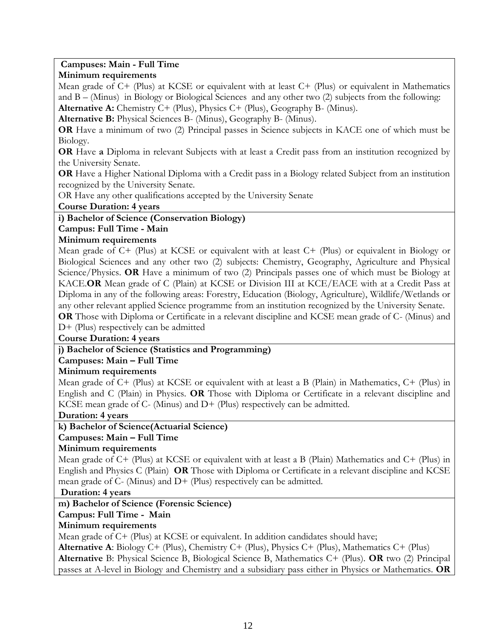#### **Campuses: Main - Full Time**

#### **Minimum requirements**

Mean grade of C+ (Plus) at KCSE or equivalent with at least C+ (Plus) or equivalent in Mathematics and B – (Minus) in Biology or Biological Sciences and any other two (2) subjects from the following:

**Alternative A:** Chemistry C+ (Plus), Physics C+ (Plus), Geography B- (Minus).

**Alternative B:** Physical Sciences B- (Minus), Geography B- (Minus).

**OR** Have a minimum of two (2) Principal passes in Science subjects in KACE one of which must be Biology.

**OR** Have **a** Diploma in relevant Subjects with at least a Credit pass from an institution recognized by the University Senate.

**OR** Have a Higher National Diploma with a Credit pass in a Biology related Subject from an institution recognized by the University Senate.

OR Have any other qualifications accepted by the University Senate

**Course Duration: 4 years**

**i) Bachelor of Science (Conservation Biology)**

#### **Campus: Full Time - Main**

#### **Minimum requirements**

Mean grade of C+ (Plus) at KCSE or equivalent with at least C+ (Plus) or equivalent in Biology or Biological Sciences and any other two (2) subjects: Chemistry, Geography, Agriculture and Physical Science/Physics. **OR** Have a minimum of two (2) Principals passes one of which must be Biology at KACE.**OR** Mean grade of C (Plain) at KCSE or Division III at KCE/EACE with at a Credit Pass at Diploma in any of the following areas: Forestry, Education (Biology, Agriculture), Wildlife/Wetlands or any other relevant applied Science programme from an institution recognized by the University Senate. **OR** Those with Diploma or Certificate in a relevant discipline and KCSE mean grade of C- (Minus) and D+ (Plus) respectively can be admitted

#### **Course Duration: 4 years**

#### **j) Bachelor of Science (Statistics and Programming)**

#### **Campuses: Main – Full Time**

#### **Minimum requirements**

Mean grade of C+ (Plus) at KCSE or equivalent with at least a B (Plain) in Mathematics, C+ (Plus) in English and C (Plain) in Physics. **OR** Those with Diploma or Certificate in a relevant discipline and KCSE mean grade of C- (Minus) and D+ (Plus) respectively can be admitted.

#### **Duration: 4 years**

#### **k) Bachelor of Science(Actuarial Science)**

# **Campuses: Main – Full Time**

#### **Minimum requirements**

Mean grade of C+ (Plus) at KCSE or equivalent with at least a B (Plain) Mathematics and C+ (Plus) in English and Physics C (Plain) **OR** Those with Diploma or Certificate in a relevant discipline and KCSE mean grade of  $C-$  (Minus) and  $D+$  (Plus) respectively can be admitted.

**Duration: 4 years**

#### **m) Bachelor of Science (Forensic Science)**

# **Campus: Full Time - Main**

#### **Minimum requirements**

Mean grade of C+ (Plus) at KCSE or equivalent. In addition candidates should have;

**Alternative A**: Biology C+ (Plus), Chemistry C+ (Plus), Physics C+ (Plus), Mathematics C+ (Plus) **Alternative** B: Physical Science B, Biological Science B, Mathematics C+ (Plus). **OR** two (2) Principal

passes at A-level in Biology and Chemistry and a subsidiary pass either in Physics or Mathematics. **OR**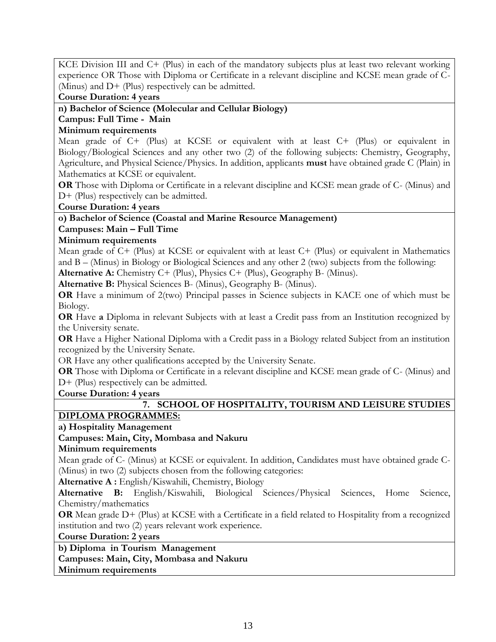KCE Division III and C+ (Plus) in each of the mandatory subjects plus at least two relevant working experience OR Those with Diploma or Certificate in a relevant discipline and KCSE mean grade of C- (Minus) and D+ (Plus) respectively can be admitted.

**Course Duration: 4 years**

**n) Bachelor of Science (Molecular and Cellular Biology)**

#### **Campus: Full Time - Main**

#### **Minimum requirements**

Mean grade of C+ (Plus) at KCSE or equivalent with at least C+ (Plus) or equivalent in Biology/Biological Sciences and any other two (2) of the following subjects: Chemistry, Geography, Agriculture, and Physical Science/Physics. In addition, applicants **must** have obtained grade C (Plain) in Mathematics at KCSE or equivalent.

**OR** Those with Diploma or Certificate in a relevant discipline and KCSE mean grade of C- (Minus) and D+ (Plus) respectively can be admitted.

**Course Duration: 4 years**

#### **o) Bachelor of Science (Coastal and Marine Resource Management)**

#### **Campuses: Main – Full Time**

#### **Minimum requirements**

Mean grade of C+ (Plus) at KCSE or equivalent with at least C+ (Plus) or equivalent in Mathematics and B – (Minus) in Biology or Biological Sciences and any other 2 (two) subjects from the following:

**Alternative A:** Chemistry C+ (Plus), Physics C+ (Plus), Geography B- (Minus).

**Alternative B:** Physical Sciences B- (Minus), Geography B- (Minus).

**OR** Have a minimum of 2(two) Principal passes in Science subjects in KACE one of which must be Biology.

**OR** Have **a** Diploma in relevant Subjects with at least a Credit pass from an Institution recognized by the University senate.

**OR** Have a Higher National Diploma with a Credit pass in a Biology related Subject from an institution recognized by the University Senate.

OR Have any other qualifications accepted by the University Senate.

**OR** Those with Diploma or Certificate in a relevant discipline and KCSE mean grade of C- (Minus) and D+ (Plus) respectively can be admitted.

#### **Course Duration: 4 years**

# **7. SCHOOL OF HOSPITALITY, TOURISM AND LEISURE STUDIES**

# **DIPLOMA PROGRAMMES:**

**a) Hospitality Management** 

# **Campuses: Main, City, Mombasa and Nakuru**

#### **Minimum requirements**

Mean grade of C- (Minus) at KCSE or equivalent. In addition, Candidates must have obtained grade C- (Minus) in two (2) subjects chosen from the following categories:

**Alternative A :** English/Kiswahili, Chemistry, Biology

**Alternative B:** English/Kiswahili, Biological Sciences/Physical Sciences, Home Science, Chemistry/mathematics

**OR** Mean grade D+ (Plus) at KCSE with a Certificate in a field related to Hospitality from a recognized institution and two (2) years relevant work experience.

**Course Duration: 2 years**

# **b) Diploma in Tourism Management**

**Campuses: Main, City, Mombasa and Nakuru**

**Minimum requirements**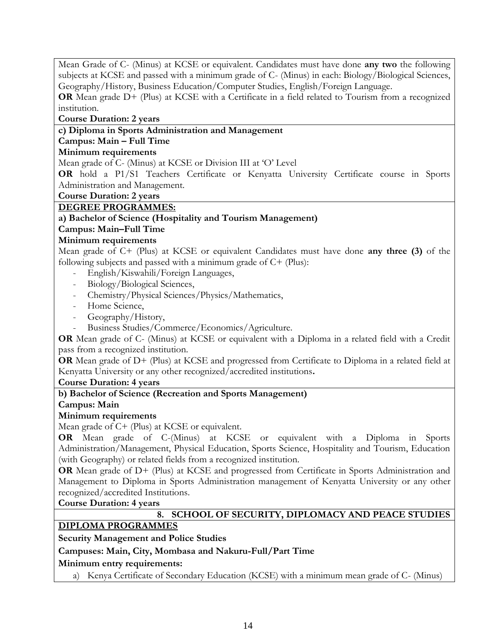Mean Grade of C- (Minus) at KCSE or equivalent. Candidates must have done **any two** the following subjects at KCSE and passed with a minimum grade of C- (Minus) in each: Biology/Biological Sciences, Geography/History, Business Education/Computer Studies, English/Foreign Language.

**OR** Mean grade D+ (Plus) at KCSE with a Certificate in a field related to Tourism from a recognized institution.

**Course Duration: 2 years**

#### **c) Diploma in Sports Administration and Management**

# **Campus: Main – Full Time**

# **Minimum requirements**

Mean grade of C- (Minus) at KCSE or Division III at 'O' Level

**OR** hold a P1/S1 Teachers Certificate or Kenyatta University Certificate course in Sports Administration and Management.

**Course Duration: 2 years**

#### **DEGREE PROGRAMMES:**

**a) Bachelor of Science (Hospitality and Tourism Management)**

#### **Campus: Main–Full Time**

#### **Minimum requirements**

Mean grade of C+ (Plus) at KCSE or equivalent Candidates must have done **any three (3)** of the following subjects and passed with a minimum grade of C+ (Plus):

- English/Kiswahili/Foreign Languages,
- Biology/Biological Sciences,
- Chemistry/Physical Sciences/Physics/Mathematics,
- Home Science,
- Geography/History,
- Business Studies/Commerce/Economics/Agriculture.

**OR** Mean grade of C- (Minus) at KCSE or equivalent with a Diploma in a related field with a Credit pass from a recognized institution.

**OR** Mean grade of D+ (Plus) at KCSE and progressed from Certificate to Diploma in a related field at Kenyatta University or any other recognized/accredited institutions**.**

**Course Duration: 4 years**

# **b) Bachelor of Science (Recreation and Sports Management)**

#### **Campus: Main**

#### **Minimum requirements**

Mean grade of C+ (Plus) at KCSE or equivalent.

**OR** Mean grade of C-(Minus) at KCSE or equivalent with a Diploma in Sports Administration/Management, Physical Education, Sports Science, Hospitality and Tourism, Education (with Geography) or related fields from a recognized institution.

**OR** Mean grade of D+ (Plus) at KCSE and progressed from Certificate in Sports Administration and Management to Diploma in Sports Administration management of Kenyatta University or any other recognized/accredited Institutions.

#### **Course Duration: 4 years**

# **8. SCHOOL OF SECURITY, DIPLOMACY AND PEACE STUDIES**

# **DIPLOMA PROGRAMMES**

# **Security Management and Police Studies**

# **Campuses: Main, City, Mombasa and Nakuru-Full/Part Time**

# **Minimum entry requirements:**

a) Kenya Certificate of Secondary Education (KCSE) with a minimum mean grade of C- (Minus)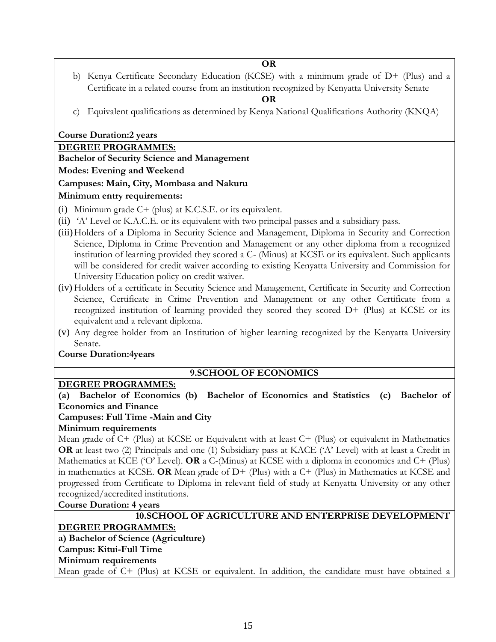**OR**

b) Kenya Certificate Secondary Education (KCSE) with a minimum grade of D+ (Plus) and a Certificate in a related course from an institution recognized by Kenyatta University Senate

#### **OR**

c) Equivalent qualifications as determined by Kenya National Qualifications Authority (KNQA)

#### **Course Duration:2 years**

# **DEGREE PROGRAMMES:**

**Bachelor of Security Science and Management**

#### **Modes: Evening and Weekend**

# **Campuses: Main, City, Mombasa and Nakuru**

# **Minimum entry requirements:**

- (i) Minimum grade C+ (plus) at K.C.S.E. or its equivalent.
- (ii) 'A' Level or K.A.C.E. or its equivalent with two principal passes and a subsidiary pass.
- (iii)Holders of a Diploma in Security Science and Management, Diploma in Security and Correction Science, Diploma in Crime Prevention and Management or any other diploma from a recognized institution of learning provided they scored a C- (Minus) at KCSE or its equivalent. Such applicants will be considered for credit waiver according to existing Kenyatta University and Commission for University Education policy on credit waiver.
- (iv) Holders of a certificate in Security Science and Management, Certificate in Security and Correction Science, Certificate in Crime Prevention and Management or any other Certificate from a recognized institution of learning provided they scored they scored D+ (Plus) at KCSE or its equivalent and a relevant diploma.
- (v) Any degree holder from an Institution of higher learning recognized by the Kenyatta University Senate.

# **Course Duration:4years**

# **9.SCHOOL OF ECONOMICS**

# **DEGREE PROGRAMMES:**

**(a) Bachelor of Economics (b) Bachelor of Economics and Statistics (c) Bachelor of Economics and Finance**

# **Campuses: Full Time -Main and City**

# **Minimum requirements**

Mean grade of C+ (Plus) at KCSE or Equivalent with at least C+ (Plus) or equivalent in Mathematics **OR** at least two (2) Principals and one (1) Subsidiary pass at KACE ('A' Level) with at least a Credit in Mathematics at KCE ('O' Level). **OR** a C-(Minus) at KCSE with a diploma in economics and C+ (Plus) in mathematics at KCSE. **OR** Mean grade of D+ (Plus) with a C+ (Plus) in Mathematics at KCSE and progressed from Certificate to Diploma in relevant field of study at Kenyatta University or any other recognized/accredited institutions.

# **Course Duration: 4 years**

| 10.SCHOOL OF AGRICULTURE AND ENTERPRISE DEVELOPMENT                                                                                                                                                                                                                                                                                                              |
|------------------------------------------------------------------------------------------------------------------------------------------------------------------------------------------------------------------------------------------------------------------------------------------------------------------------------------------------------------------|
| <b>DEGREE PROGRAMMES:</b>                                                                                                                                                                                                                                                                                                                                        |
| a) Bachelor of Science (Agriculture)                                                                                                                                                                                                                                                                                                                             |
| Campus: Kitui-Full Time                                                                                                                                                                                                                                                                                                                                          |
| Minimum requirements                                                                                                                                                                                                                                                                                                                                             |
| $\mathbf{r}$ $\mathbf{r}$ $\mathbf{r}$ $\mathbf{r}$ $\mathbf{r}$ $\mathbf{r}$ $\mathbf{r}$ $\mathbf{r}$ $\mathbf{r}$ $\mathbf{r}$ $\mathbf{r}$ $\mathbf{r}$ $\mathbf{r}$ $\mathbf{r}$ $\mathbf{r}$ $\mathbf{r}$ $\mathbf{r}$ $\mathbf{r}$ $\mathbf{r}$ $\mathbf{r}$ $\mathbf{r}$ $\mathbf{r}$ $\mathbf{r}$ $\mathbf{r}$ $\mathbf{$<br>$\tau \tau \cap \cap \tau$ |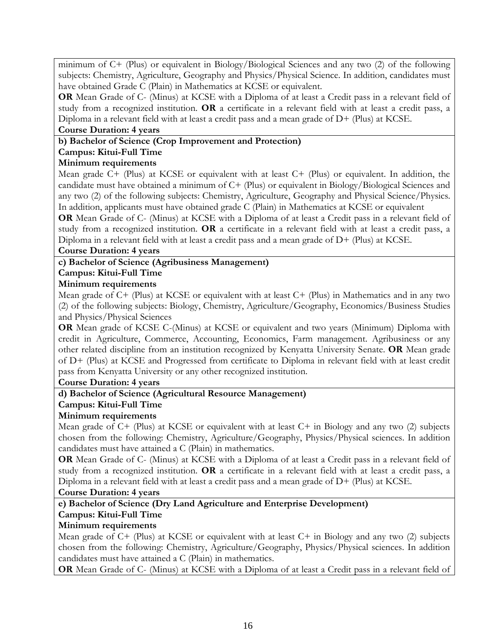minimum of C+ (Plus) or equivalent in Biology/Biological Sciences and any two (2) of the following subjects: Chemistry, Agriculture, Geography and Physics/Physical Science. In addition, candidates must have obtained Grade C (Plain) in Mathematics at KCSE or equivalent.

**OR** Mean Grade of C- (Minus) at KCSE with a Diploma of at least a Credit pass in a relevant field of study from a recognized institution. **OR** a certificate in a relevant field with at least a credit pass, a Diploma in a relevant field with at least a credit pass and a mean grade of D+ (Plus) at KCSE.

#### **Course Duration: 4 years**

#### **b) Bachelor of Science (Crop Improvement and Protection)**

#### **Campus: Kitui-Full Time**

#### **Minimum requirements**

Mean grade C+ (Plus) at KCSE or equivalent with at least C+ (Plus) or equivalent. In addition, the candidate must have obtained a minimum of C+ (Plus) or equivalent in Biology/Biological Sciences and any two (2) of the following subjects: Chemistry, Agriculture, Geography and Physical Science/Physics. In addition, applicants must have obtained grade C (Plain) in Mathematics at KCSE or equivalent

**OR** Mean Grade of C- (Minus) at KCSE with a Diploma of at least a Credit pass in a relevant field of study from a recognized institution. **OR** a certificate in a relevant field with at least a credit pass, a Diploma in a relevant field with at least a credit pass and a mean grade of  $D+$  (Plus) at KCSE.

#### **Course Duration: 4 years**

#### **c) Bachelor of Science (Agribusiness Management)**

#### **Campus: Kitui-Full Time**

#### **Minimum requirements**

Mean grade of C+ (Plus) at KCSE or equivalent with at least C+ (Plus) in Mathematics and in any two (2) of the following subjects: Biology, Chemistry, Agriculture/Geography, Economics/Business Studies and Physics/Physical Sciences

**OR** Mean grade of KCSE C-(Minus) at KCSE or equivalent and two years (Minimum) Diploma with credit in Agriculture, Commerce, Accounting, Economics, Farm management. Agribusiness or any other related discipline from an institution recognized by Kenyatta University Senate. **OR** Mean grade of D+ (Plus) at KCSE and Progressed from certificate to Diploma in relevant field with at least credit pass from Kenyatta University or any other recognized institution.

#### **Course Duration: 4 years**

#### **d) Bachelor of Science (Agricultural Resource Management)**

#### **Campus: Kitui-Full Time**

#### **Minimum requirements**

Mean grade of C+ (Plus) at KCSE or equivalent with at least C+ in Biology and any two (2) subjects chosen from the following: Chemistry, Agriculture/Geography, Physics/Physical sciences. In addition candidates must have attained a C (Plain) in mathematics.

**OR** Mean Grade of C- (Minus) at KCSE with a Diploma of at least a Credit pass in a relevant field of study from a recognized institution. **OR** a certificate in a relevant field with at least a credit pass, a Diploma in a relevant field with at least a credit pass and a mean grade of D+ (Plus) at KCSE.

#### **Course Duration: 4 years**

# **e) Bachelor of Science (Dry Land Agriculture and Enterprise Development)**

# **Campus: Kitui-Full Time**

#### **Minimum requirements**

Mean grade of  $C^+$  (Plus) at KCSE or equivalent with at least  $C^+$  in Biology and any two (2) subjects chosen from the following: Chemistry, Agriculture/Geography, Physics/Physical sciences. In addition candidates must have attained a C (Plain) in mathematics.

**OR** Mean Grade of C- (Minus) at KCSE with a Diploma of at least a Credit pass in a relevant field of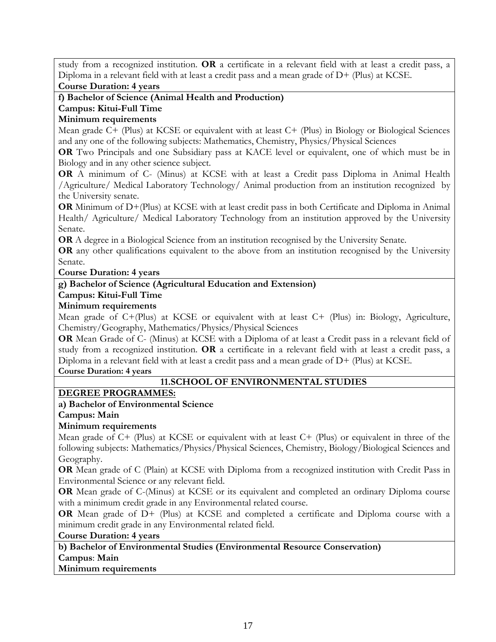study from a recognized institution. **OR** a certificate in a relevant field with at least a credit pass, a Diploma in a relevant field with at least a credit pass and a mean grade of D+ (Plus) at KCSE.

#### **Course Duration: 4 years**

**f) Bachelor of Science (Animal Health and Production)**

#### **Campus: Kitui-Full Time**

#### **Minimum requirements**

Mean grade C+ (Plus) at KCSE or equivalent with at least C+ (Plus) in Biology or Biological Sciences and any one of the following subjects: Mathematics, Chemistry, Physics/Physical Sciences

**OR** Two Principals and one Subsidiary pass at KACE level or equivalent, one of which must be in Biology and in any other science subject.

**OR** A minimum of C- (Minus) at KCSE with at least a Credit pass Diploma in Animal Health /Agriculture/ Medical Laboratory Technology/ Animal production from an institution recognized by the University senate.

**OR** Minimum of D+(Plus) at KCSE with at least credit pass in both Certificate and Diploma in Animal Health/ Agriculture/ Medical Laboratory Technology from an institution approved by the University Senate.

**OR** A degree in a Biological Science from an institution recognised by the University Senate.

**OR** any other qualifications equivalent to the above from an institution recognised by the University Senate.

#### **Course Duration: 4 years**

# **g) Bachelor of Science (Agricultural Education and Extension)**

#### **Campus: Kitui-Full Time**

#### **Minimum requirements**

Mean grade of C+(Plus) at KCSE or equivalent with at least C+ (Plus) in: Biology, Agriculture, Chemistry/Geography, Mathematics/Physics/Physical Sciences

**OR** Mean Grade of C- (Minus) at KCSE with a Diploma of at least a Credit pass in a relevant field of study from a recognized institution. **OR** a certificate in a relevant field with at least a credit pass, a Diploma in a relevant field with at least a credit pass and a mean grade of D+ (Plus) at KCSE.

#### **Course Duration: 4 years**

# **11.SCHOOL OF ENVIRONMENTAL STUDIES**

# **DEGREE PROGRAMMES:**

#### **a) Bachelor of Environmental Science**

**Campus: Main**

#### **Minimum requirements**

Mean grade of C+ (Plus) at KCSE or equivalent with at least C+ (Plus) or equivalent in three of the following subjects: Mathematics/Physics/Physical Sciences, Chemistry, Biology/Biological Sciences and Geography.

**OR** Mean grade of C (Plain) at KCSE with Diploma from a recognized institution with Credit Pass in Environmental Science or any relevant field.

**OR** Mean grade of C-(Minus) at KCSE or its equivalent and completed an ordinary Diploma course with a minimum credit grade in any Environmental related course.

**OR** Mean grade of D+ (Plus) at KCSE and completed a certificate and Diploma course with a minimum credit grade in any Environmental related field.

#### **Course Duration: 4 years**

# **b) Bachelor of Environmental Studies (Environmental Resource Conservation) Campus**: **Main**

#### **Minimum requirements**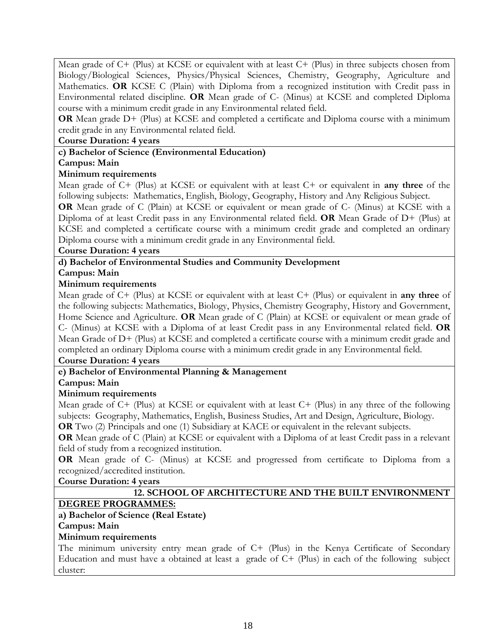Mean grade of C+ (Plus) at KCSE or equivalent with at least C+ (Plus) in three subjects chosen from Biology/Biological Sciences, Physics/Physical Sciences, Chemistry, Geography, Agriculture and Mathematics. **OR** KCSE C (Plain) with Diploma from a recognized institution with Credit pass in Environmental related discipline. **OR** Mean grade of C- (Minus) at KCSE and completed Diploma course with a minimum credit grade in any Environmental related field.

**OR** Mean grade D+ (Plus) at KCSE and completed a certificate and Diploma course with a minimum credit grade in any Environmental related field.

#### **Course Duration: 4 years**

#### **c) Bachelor of Science (Environmental Education)**

#### **Campus: Main**

#### **Minimum requirements**

Mean grade of C+ (Plus) at KCSE or equivalent with at least C+ or equivalent in **any three** of the following subjects: Mathematics, English, Biology, Geography, History and Any Religious Subject.

**OR** Mean grade of C (Plain) at KCSE or equivalent or mean grade of C- (Minus) at KCSE with a Diploma of at least Credit pass in any Environmental related field. **OR** Mean Grade of D+ (Plus) at KCSE and completed a certificate course with a minimum credit grade and completed an ordinary Diploma course with a minimum credit grade in any Environmental field.

#### **Course Duration: 4 years**

#### **d) Bachelor of Environmental Studies and Community Development**

#### **Campus: Main**

#### **Minimum requirements**

Mean grade of C+ (Plus) at KCSE or equivalent with at least C+ (Plus) or equivalent in **any three** of the following subjects: Mathematics, Biology, Physics, Chemistry Geography, History and Government, Home Science and Agriculture. **OR** Mean grade of C (Plain) at KCSE or equivalent or mean grade of C- (Minus) at KCSE with a Diploma of at least Credit pass in any Environmental related field. **OR**  Mean Grade of D+ (Plus) at KCSE and completed a certificate course with a minimum credit grade and completed an ordinary Diploma course with a minimum credit grade in any Environmental field.

# **Course Duration: 4 years**

# **e) Bachelor of Environmental Planning & Management**

#### **Campus: Main**

# **Minimum requirements**

Mean grade of C+ (Plus) at KCSE or equivalent with at least C+ (Plus) in any three of the following subjects: Geography, Mathematics, English, Business Studies, Art and Design, Agriculture, Biology.

**OR** Two (2) Principals and one (1) Subsidiary at KACE or equivalent in the relevant subjects.

**OR** Mean grade of C (Plain) at KCSE or equivalent with a Diploma of at least Credit pass in a relevant field of study from a recognized institution.

**OR** Mean grade of C- (Minus) at KCSE and progressed from certificate to Diploma from a recognized/accredited institution.

**Course Duration: 4 years**

# **12. SCHOOL OF ARCHITECTURE AND THE BUILT ENVIRONMENT**

# **DEGREE PROGRAMMES:**

# **a) Bachelor of Science (Real Estate)**

#### **Campus: Main**

#### **Minimum requirements**

The minimum university entry mean grade of C+ (Plus) in the Kenya Certificate of Secondary Education and must have a obtained at least a grade of C+ (Plus) in each of the following subject cluster: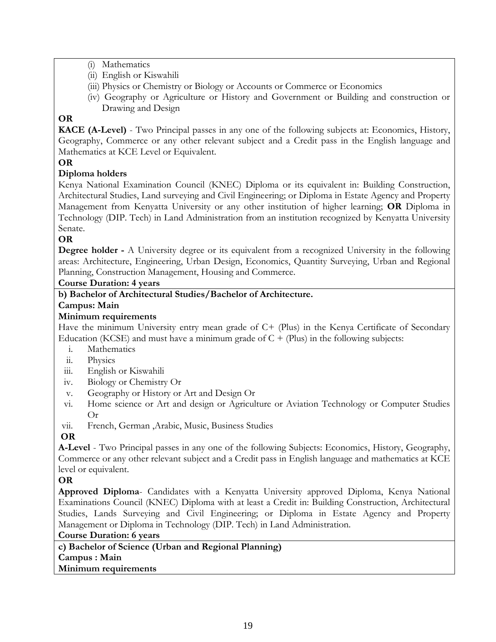- (i) Mathematics
- (ii) English or Kiswahili
- (iii) Physics or Chemistry or Biology or Accounts or Commerce or Economics
- (iv) Geography or Agriculture or History and Government or Building and construction or Drawing and Design

# **OR**

**KACE (A-Level)** - Two Principal passes in any one of the following subjects at: Economics, History, Geography, Commerce or any other relevant subject and a Credit pass in the English language and Mathematics at KCE Level or Equivalent.

# **OR**

# **Diploma holders**

Kenya National Examination Council (KNEC) Diploma or its equivalent in: Building Construction, Architectural Studies, Land surveying and Civil Engineering; or Diploma in Estate Agency and Property Management from Kenyatta University or any other institution of higher learning; **OR** Diploma in Technology (DIP. Tech) in Land Administration from an institution recognized by Kenyatta University Senate.

#### **OR**

**Degree holder** - A University degree or its equivalent from a recognized University in the following areas: Architecture, Engineering, Urban Design, Economics, Quantity Surveying, Urban and Regional Planning, Construction Management, Housing and Commerce.

#### **Course Duration: 4 years**

# **b) Bachelor of Architectural Studies/Bachelor of Architecture.**

# **Campus: Main**

#### **Minimum requirements**

Have the minimum University entry mean grade of C+ (Plus) in the Kenya Certificate of Secondary Education (KCSE) and must have a minimum grade of  $C + (Plus)$  in the following subjects:

- i. Mathematics
- ii. Physics
- iii. English or Kiswahili
- iv. Biology or Chemistry Or
- v. Geography or History or Art and Design Or
- vi. Home science or Art and design or Agriculture or Aviation Technology or Computer Studies Or
- vii. French, German ,Arabic, Music, Business Studies

# **OR**

**A-Level** - Two Principal passes in any one of the following Subjects: Economics, History, Geography, Commerce or any other relevant subject and a Credit pass in English language and mathematics at KCE level or equivalent.

# **OR**

**Approved Diploma**- Candidates with a Kenyatta University approved Diploma, Kenya National Examinations Council (KNEC) Diploma with at least a Credit in: Building Construction, Architectural Studies, Lands Surveying and Civil Engineering; or Diploma in Estate Agency and Property Management or Diploma in Technology (DIP. Tech) in Land Administration.

# **Course Duration: 6 years**

**c) Bachelor of Science (Urban and Regional Planning) Campus : Main Minimum requirements**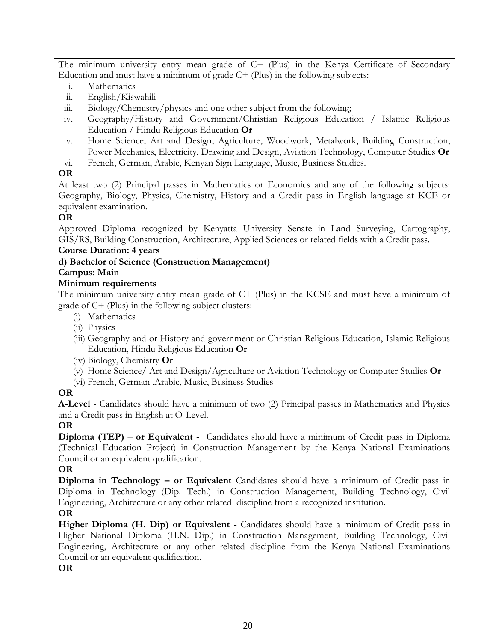The minimum university entry mean grade of C+ (Plus) in the Kenya Certificate of Secondary Education and must have a minimum of grade  $C+$  (Plus) in the following subjects:

- i. Mathematics
- ii. English/Kiswahili
- iii. Biology/Chemistry/physics and one other subject from the following;
- iv. Geography/History and Government/Christian Religious Education / Islamic Religious Education / Hindu Religious Education **Or**
- v. Home Science, Art and Design, Agriculture, Woodwork, Metalwork, Building Construction, Power Mechanics, Electricity, Drawing and Design, Aviation Technology, Computer Studies **Or**
- vi. French, German, Arabic, Kenyan Sign Language, Music, Business Studies.

# **OR**

At least two (2) Principal passes in Mathematics or Economics and any of the following subjects: Geography, Biology, Physics, Chemistry, History and a Credit pass in English language at KCE or equivalent examination.

# **OR**

Approved Diploma recognized by Kenyatta University Senate in Land Surveying, Cartography, GIS/RS, Building Construction, Architecture, Applied Sciences or related fields with a Credit pass.

# **Course Duration: 4 years**

# **d) Bachelor of Science (Construction Management)**

# **Campus: Main**

# **Minimum requirements**

The minimum university entry mean grade of C+ (Plus) in the KCSE and must have a minimum of grade of C+ (Plus) in the following subject clusters:

- (i) Mathematics
- (ii) Physics
- (iii) Geography and or History and government or Christian Religious Education, Islamic Religious Education, Hindu Religious Education **Or**
- (iv) Biology, Chemistry **Or**
- (v) Home Science/ Art and Design/Agriculture or Aviation Technology or Computer Studies **Or**
- (vi) French, German ,Arabic, Music, Business Studies

# **OR**

**A-Level** - Candidates should have a minimum of two (2) Principal passes in Mathematics and Physics and a Credit pass in English at O-Level.

# **OR**

**Diploma (TEP) – or Equivalent -** Candidates should have a minimum of Credit pass in Diploma (Technical Education Project) in Construction Management by the Kenya National Examinations Council or an equivalent qualification.

# **OR**

**Diploma in Technology – or Equivalent** Candidates should have a minimum of Credit pass in Diploma in Technology (Dip. Tech.) in Construction Management, Building Technology, Civil Engineering, Architecture or any other related discipline from a recognized institution.

# **OR**

**Higher Diploma (H. Dip) or Equivalent -** Candidates should have a minimum of Credit pass in Higher National Diploma (H.N. Dip.) in Construction Management, Building Technology, Civil Engineering, Architecture or any other related discipline from the Kenya National Examinations Council or an equivalent qualification.

**OR**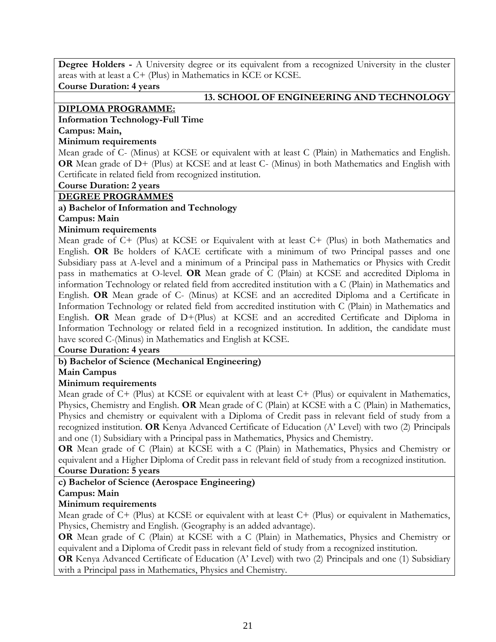**Degree Holders -** A University degree or its equivalent from a recognized University in the cluster areas with at least a C+ (Plus) in Mathematics in KCE or KCSE.

**Course Duration: 4 years**

#### **13. SCHOOL OF ENGINEERING AND TECHNOLOGY**

#### **DIPLOMA PROGRAMME:**

#### **Information Technology-Full Time**

# **Campus: Main,**

#### **Minimum requirements**

Mean grade of C- (Minus) at KCSE or equivalent with at least C (Plain) in Mathematics and English. **OR** Mean grade of D+ (Plus) at KCSE and at least C- (Minus) in both Mathematics and English with Certificate in related field from recognized institution.

**Course Duration: 2 years**

#### **DEGREE PROGRAMMES**

#### **a) Bachelor of Information and Technology**

**Campus: Main** 

#### **Minimum requirements**

Mean grade of C+ (Plus) at KCSE or Equivalent with at least C+ (Plus) in both Mathematics and English. **OR** Be holders of KACE certificate with a minimum of two Principal passes and one Subsidiary pass at A-level and a minimum of a Principal pass in Mathematics or Physics with Credit pass in mathematics at O-level. **OR** Mean grade of C (Plain) at KCSE and accredited Diploma in information Technology or related field from accredited institution with a C (Plain) in Mathematics and English. **OR** Mean grade of C- (Minus) at KCSE and an accredited Diploma and a Certificate in Information Technology or related field from accredited institution with C (Plain) in Mathematics and English. **OR** Mean grade of D+(Plus) at KCSE and an accredited Certificate and Diploma in Information Technology or related field in a recognized institution. In addition, the candidate must have scored C-(Minus) in Mathematics and English at KCSE.

#### **Course Duration: 4 years**

# **b) Bachelor of Science (Mechanical Engineering)**

# **Main Campus**

# **Minimum requirements**

Mean grade of C+ (Plus) at KCSE or equivalent with at least C+ (Plus) or equivalent in Mathematics, Physics, Chemistry and English. **OR** Mean grade of C (Plain) at KCSE with a C (Plain) in Mathematics, Physics and chemistry or equivalent with a Diploma of Credit pass in relevant field of study from a recognized institution. **OR** Kenya Advanced Certificate of Education (A' Level) with two (2) Principals and one (1) Subsidiary with a Principal pass in Mathematics, Physics and Chemistry.

**OR** Mean grade of C (Plain) at KCSE with a C (Plain) in Mathematics, Physics and Chemistry or equivalent and a Higher Diploma of Credit pass in relevant field of study from a recognized institution. **Course Duration: 5 years**

# **c) Bachelor of Science (Aerospace Engineering)**

#### **Campus: Main**

# **Minimum requirements**

Mean grade of C+ (Plus) at KCSE or equivalent with at least C+ (Plus) or equivalent in Mathematics, Physics, Chemistry and English. (Geography is an added advantage).

**OR** Mean grade of C (Plain) at KCSE with a C (Plain) in Mathematics, Physics and Chemistry or equivalent and a Diploma of Credit pass in relevant field of study from a recognized institution.

**OR** Kenya Advanced Certificate of Education (A' Level) with two (2) Principals and one (1) Subsidiary with a Principal pass in Mathematics, Physics and Chemistry.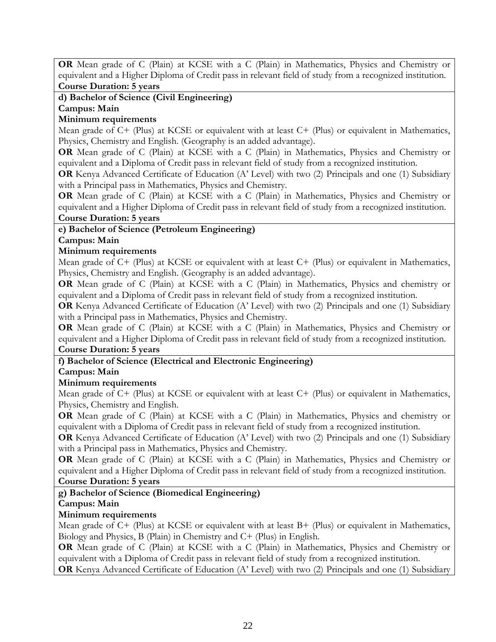**OR** Mean grade of C (Plain) at KCSE with a C (Plain) in Mathematics, Physics and Chemistry or equivalent and a Higher Diploma of Credit pass in relevant field of study from a recognized institution. **Course Duration: 5 years**

# **d) Bachelor of Science (Civil Engineering)**

**Campus: Main** 

# **Minimum requirements**

Mean grade of C+ (Plus) at KCSE or equivalent with at least C+ (Plus) or equivalent in Mathematics, Physics, Chemistry and English. (Geography is an added advantage).

**OR** Mean grade of C (Plain) at KCSE with a C (Plain) in Mathematics, Physics and Chemistry or equivalent and a Diploma of Credit pass in relevant field of study from a recognized institution.

**OR** Kenya Advanced Certificate of Education (A' Level) with two (2) Principals and one (1) Subsidiary with a Principal pass in Mathematics, Physics and Chemistry.

**OR** Mean grade of C (Plain) at KCSE with a C (Plain) in Mathematics, Physics and Chemistry or equivalent and a Higher Diploma of Credit pass in relevant field of study from a recognized institution. **Course Duration: 5 years**

# **e) Bachelor of Science (Petroleum Engineering)**

# **Campus: Main**

# **Minimum requirements**

Mean grade of C+ (Plus) at KCSE or equivalent with at least C+ (Plus) or equivalent in Mathematics, Physics, Chemistry and English. (Geography is an added advantage).

**OR** Mean grade of C (Plain) at KCSE with a C (Plain) in Mathematics, Physics and chemistry or equivalent and a Diploma of Credit pass in relevant field of study from a recognized institution.

**OR** Kenya Advanced Certificate of Education (A' Level) with two (2) Principals and one (1) Subsidiary with a Principal pass in Mathematics, Physics and Chemistry.

**OR** Mean grade of C (Plain) at KCSE with a C (Plain) in Mathematics, Physics and Chemistry or equivalent and a Higher Diploma of Credit pass in relevant field of study from a recognized institution. **Course Duration: 5 years**

# **f) Bachelor of Science (Electrical and Electronic Engineering)**

# **Campus: Main**

# **Minimum requirements**

Mean grade of C+ (Plus) at KCSE or equivalent with at least C+ (Plus) or equivalent in Mathematics, Physics, Chemistry and English.

**OR** Mean grade of C (Plain) at KCSE with a C (Plain) in Mathematics, Physics and chemistry or equivalent with a Diploma of Credit pass in relevant field of study from a recognized institution.

**OR** Kenya Advanced Certificate of Education (A' Level) with two (2) Principals and one (1) Subsidiary with a Principal pass in Mathematics, Physics and Chemistry.

**OR** Mean grade of C (Plain) at KCSE with a C (Plain) in Mathematics, Physics and Chemistry or equivalent and a Higher Diploma of Credit pass in relevant field of study from a recognized institution. **Course Duration: 5 years**

# **g) Bachelor of Science (Biomedical Engineering)**

# **Campus: Main**

# **Minimum requirements**

Mean grade of C+ (Plus) at KCSE or equivalent with at least B+ (Plus) or equivalent in Mathematics, Biology and Physics, B (Plain) in Chemistry and C+ (Plus) in English.

**OR** Mean grade of C (Plain) at KCSE with a C (Plain) in Mathematics, Physics and Chemistry or equivalent with a Diploma of Credit pass in relevant field of study from a recognized institution.

**OR** Kenya Advanced Certificate of Education (A' Level) with two (2) Principals and one (1) Subsidiary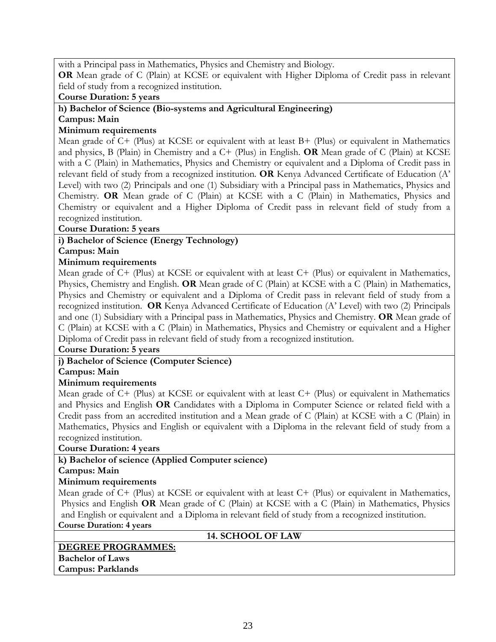with a Principal pass in Mathematics, Physics and Chemistry and Biology.

**OR** Mean grade of C (Plain) at KCSE or equivalent with Higher Diploma of Credit pass in relevant field of study from a recognized institution.

**Course Duration: 5 years**

# **h) Bachelor of Science (Bio-systems and Agricultural Engineering)**

# **Campus: Main**

# **Minimum requirements**

Mean grade of  $C+$  (Plus) at KCSE or equivalent with at least  $B+$  (Plus) or equivalent in Mathematics and physics, B (Plain) in Chemistry and a C+ (Plus) in English. **OR** Mean grade of C (Plain) at KCSE with a C (Plain) in Mathematics, Physics and Chemistry or equivalent and a Diploma of Credit pass in relevant field of study from a recognized institution. **OR** Kenya Advanced Certificate of Education (A' Level) with two (2) Principals and one (1) Subsidiary with a Principal pass in Mathematics, Physics and Chemistry. **OR** Mean grade of C (Plain) at KCSE with a C (Plain) in Mathematics, Physics and Chemistry or equivalent and a Higher Diploma of Credit pass in relevant field of study from a recognized institution.

#### **Course Duration: 5 years**

# **i) Bachelor of Science (Energy Technology)**

#### **Campus: Main**

# **Minimum requirements**

Mean grade of C+ (Plus) at KCSE or equivalent with at least C+ (Plus) or equivalent in Mathematics, Physics, Chemistry and English. **OR** Mean grade of C (Plain) at KCSE with a C (Plain) in Mathematics, Physics and Chemistry or equivalent and a Diploma of Credit pass in relevant field of study from a recognized institution. **OR** Kenya Advanced Certificate of Education (A' Level) with two (2) Principals and one (1) Subsidiary with a Principal pass in Mathematics, Physics and Chemistry. **OR** Mean grade of C (Plain) at KCSE with a C (Plain) in Mathematics, Physics and Chemistry or equivalent and a Higher Diploma of Credit pass in relevant field of study from a recognized institution.

#### **Course Duration: 5 years**

# **j) Bachelor of Science (Computer Science)**

# **Campus: Main**

# **Minimum requirements**

Mean grade of C+ (Plus) at KCSE or equivalent with at least C+ (Plus) or equivalent in Mathematics and Physics and English **OR** Candidates with a Diploma in Computer Science or related field with a Credit pass from an accredited institution and a Mean grade of C (Plain) at KCSE with a C (Plain) in Mathematics, Physics and English or equivalent with a Diploma in the relevant field of study from a recognized institution.

#### **Course Duration: 4 years**

# **k) Bachelor of science (Applied Computer science)**

**Campus: Main** 

# **Minimum requirements**

Mean grade of C+ (Plus) at KCSE or equivalent with at least C+ (Plus) or equivalent in Mathematics, Physics and English **OR** Mean grade of C (Plain) at KCSE with a C (Plain) in Mathematics, Physics and English or equivalent and a Diploma in relevant field of study from a recognized institution. **Course Duration: 4 years**

#### **14. SCHOOL OF LAW**

# **DEGREE PROGRAMMES:**

**Bachelor of Laws Campus: Parklands**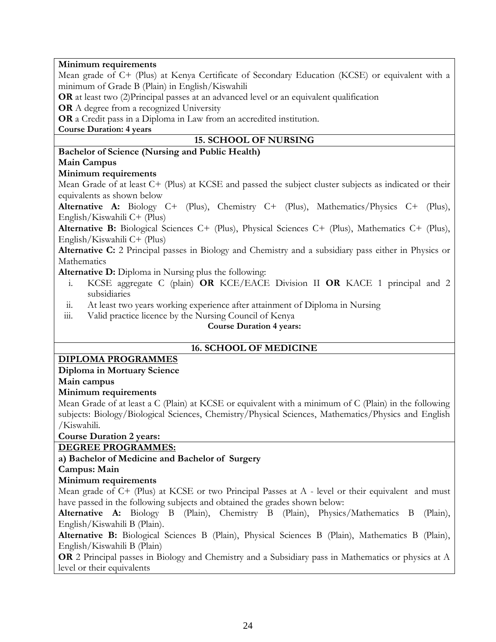#### **Minimum requirements**

Mean grade of C+ (Plus) at Kenya Certificate of Secondary Education (KCSE) or equivalent with a minimum of Grade B (Plain) in English/Kiswahili

**OR** at least two (2)Principal passes at an advanced level or an equivalent qualification

**OR** A degree from a recognized University

**OR** a Credit pass in a Diploma in Law from an accredited institution.

**Course Duration: 4 years**

# **15. SCHOOL OF NURSING**

# **Bachelor of Science (Nursing and Public Health)**

#### **Main Campus**

#### **Minimum requirements**

Mean Grade of at least C+ (Plus) at KCSE and passed the subject cluster subjects as indicated or their equivalents as shown below

**Alternative A:** Biology C+ (Plus), Chemistry C+ (Plus), Mathematics/Physics C+ (Plus), English/Kiswahili C+ (Plus)

**Alternative B:** Biological Sciences C+ (Plus), Physical Sciences C+ (Plus), Mathematics C+ (Plus), English/Kiswahili C+ (Plus)

**Alternative C:** 2 Principal passes in Biology and Chemistry and a subsidiary pass either in Physics or **Mathematics** 

**Alternative D:** Diploma in Nursing plus the following:

- i. KCSE aggregate C (plain) **OR** KCE/EACE Division II **OR** KACE 1 principal and 2 subsidiaries
- ii. At least two years working experience after attainment of Diploma in Nursing
- iii. Valid practice licence by the Nursing Council of Kenya

#### **Course Duration 4 years:**

# **16. SCHOOL OF MEDICINE**

# **DIPLOMA PROGRAMMES**

# **Diploma in Mortuary Science**

#### **Main campus**

#### **Minimum requirements**

Mean Grade of at least a C (Plain) at KCSE or equivalent with a minimum of C (Plain) in the following subjects: Biology/Biological Sciences, Chemistry/Physical Sciences, Mathematics/Physics and English /Kiswahili.

**Course Duration 2 years:**

# **DEGREE PROGRAMMES:**

# **a) Bachelor of Medicine and Bachelor of Surgery**

#### **Campus: Main**

# **Minimum requirements**

Mean grade of C+ (Plus) at KCSE or two Principal Passes at A - level or their equivalent and must have passed in the following subjects and obtained the grades shown below:

**Alternative A:** Biology B (Plain), Chemistry B (Plain), Physics/Mathematics B (Plain), English/Kiswahili B (Plain).

**Alternative B:** Biological Sciences B (Plain), Physical Sciences B (Plain), Mathematics B (Plain), English/Kiswahili B (Plain)

**OR** 2 Principal passes in Biology and Chemistry and a Subsidiary pass in Mathematics or physics at A level or their equivalents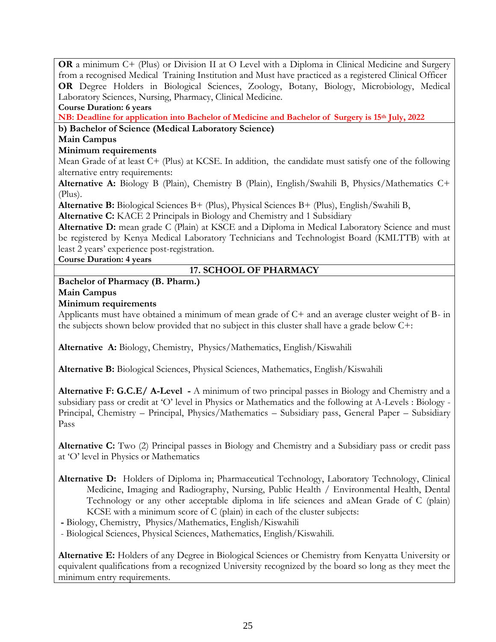**OR** a minimum C+ (Plus) or Division II at O Level with a Diploma in Clinical Medicine and Surgery from a recognised Medical Training Institution and Must have practiced as a registered Clinical Officer **OR** Degree Holders in Biological Sciences, Zoology, Botany, Biology, Microbiology, Medical Laboratory Sciences, Nursing, Pharmacy, Clinical Medicine. **Course Duration: 6 years**

**NB: Deadline for application into Bachelor of Medicine and Bachelor of Surgery is 15th July, 2022**

# **b) Bachelor of Science (Medical Laboratory Science)**

# **Main Campus**

# **Minimum requirements**

Mean Grade of at least C+ (Plus) at KCSE. In addition, the candidate must satisfy one of the following alternative entry requirements:

**Alternative A:** Biology B (Plain), Chemistry B (Plain), English/Swahili B, Physics/Mathematics C+ (Plus).

**Alternative B:** Biological Sciences B+ (Plus), Physical Sciences B+ (Plus), English/Swahili B,

**Alternative C:** KACE 2 Principals in Biology and Chemistry and 1 Subsidiary

Alternative D: mean grade C (Plain) at KSCE and a Diploma in Medical Laboratory Science and must be registered by Kenya Medical Laboratory Technicians and Technologist Board (KMLTTB) with at least 2 years' experience post-registration.

**Course Duration: 4 years**

# **17. SCHOOL OF PHARMACY**

**Bachelor of Pharmacy (B. Pharm.)**

**Main Campus** 

# **Minimum requirements**

Applicants must have obtained a minimum of mean grade of C+ and an average cluster weight of B- in the subjects shown below provided that no subject in this cluster shall have a grade below C+:

**Alternative A:** Biology, Chemistry, Physics/Mathematics, English/Kiswahili

**Alternative B:** Biological Sciences, Physical Sciences, Mathematics, English/Kiswahili

**Alternative F: G.C.E/ A-Level -** A minimum of two principal passes in Biology and Chemistry and a subsidiary pass or credit at 'O' level in Physics or Mathematics and the following at A-Levels : Biology - Principal, Chemistry – Principal, Physics/Mathematics – Subsidiary pass, General Paper – Subsidiary Pass

**Alternative C:** Two (2) Principal passes in Biology and Chemistry and a Subsidiary pass or credit pass at 'O' level in Physics or Mathematics

**Alternative D:** Holders of Diploma in; Pharmaceutical Technology, Laboratory Technology, Clinical Medicine, Imaging and Radiography, Nursing, Public Health / Environmental Health, Dental Technology or any other acceptable diploma in life sciences and aMean Grade of C (plain) KCSE with a minimum score of C (plain) in each of the cluster subjects:

**-** Biology, Chemistry, Physics/Mathematics, English/Kiswahili

- Biological Sciences, Physical Sciences, Mathematics, English/Kiswahili.

**Alternative E:** Holders of any Degree in Biological Sciences or Chemistry from Kenyatta University or equivalent qualifications from a recognized University recognized by the board so long as they meet the minimum entry requirements.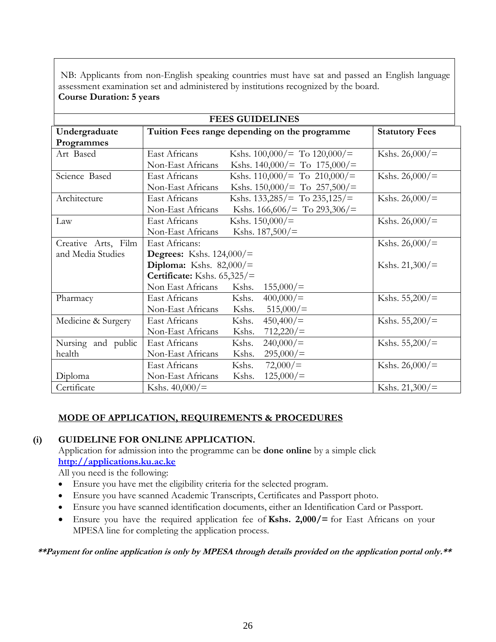NB: Applicants from non-English speaking countries must have sat and passed an English language assessment examination set and administered by institutions recognized by the board. **Course Duration: 5 years**

| <b>FEES GUIDELINES</b> |                                                         |                       |  |  |
|------------------------|---------------------------------------------------------|-----------------------|--|--|
| Undergraduate          | Tuition Fees range depending on the programme           | <b>Statutory Fees</b> |  |  |
| Programmes             |                                                         |                       |  |  |
| Art Based              | East Africans<br>Kshs. $100,000/$ = To $120,000/$ =     | Kshs. $26,000/$       |  |  |
|                        | Kshs. $140,000/$ = To $175,000/$ =<br>Non-East Africans |                       |  |  |
| Science Based          | East Africans<br>Kshs. $110,000/$ = To $210,000/$ =     | Kshs. $26,000/$ =     |  |  |
|                        | Kshs. $150,000/=$ To $257,500/=$<br>Non-East Africans   |                       |  |  |
| Architecture           | East Africans<br>Kshs. $133,285/$ To $235,125/$ =       | Kshs. $26,000/$ =     |  |  |
|                        | Non-East Africans<br>Kshs. $166,606/$ To 293,306/=      |                       |  |  |
| Law                    | East Africans<br>Kshs. $150,000/$ =                     | Kshs. $26,000/$ =     |  |  |
|                        | Kshs. $187,500/$ =<br>Non-East Africans                 |                       |  |  |
| Creative Arts, Film    | East Africans:                                          | Kshs. $26,000/$ =     |  |  |
| and Media Studies      | <b>Degrees:</b> Kshs. $124,000/$                        |                       |  |  |
|                        | Diploma: Kshs. $82,000/$ =                              | Kshs. $21,300/$ =     |  |  |
|                        | Certificate: Kshs. $65,325/$ =                          |                       |  |  |
|                        | Non East Africans<br>Kshs.<br>155,000/                  |                       |  |  |
| Pharmacy               | 400,000/<br>East Africans<br>Kshs.                      | Kshs. $55,200/$       |  |  |
|                        | Non-East Africans<br>Kshs.<br>515,000/                  |                       |  |  |
| Medicine & Surgery     | East Africans<br>Kshs.<br>450,400/                      | Kshs. $55,200/$       |  |  |
|                        | Kshs.<br>712,220/<br>Non-East Africans                  |                       |  |  |
| Nursing and public     | 240,000/<br>Kshs.<br>East Africans                      | Kshs. $55,200/$       |  |  |
| health                 | Kshs.<br>295,000/<br>Non-East Africans                  |                       |  |  |
|                        | Kshs.<br>72,000/<br>East Africans                       | Kshs. $26,000/$ =     |  |  |
| Diploma                | 125,000/<br>Kshs.<br>Non-East Africans                  |                       |  |  |
| Certificate            | Kshs. $40,000/$ =                                       | Kshs. $21,300/$ =     |  |  |

# **MODE OF APPLICATION, REQUIREMENTS & PROCEDURES**

# **(i) GUIDELINE FOR ONLINE APPLICATION.**

Application for admission into the programme can be **done online** by a simple click **[http://applications.ku.ac.ke](http://applications.ku.ac.ke/)**

All you need is the following:

- Ensure you have met the eligibility criteria for the selected program.
- Ensure you have scanned Academic Transcripts, Certificates and Passport photo.
- Ensure you have scanned identification documents, either an Identification Card or Passport.
- Ensure you have the required application fee of **Kshs. 2,000/=** for East Africans on your MPESA line for completing the application process.

**\*\*Payment for online application is only by MPESA through details provided on the application portal only.\*\***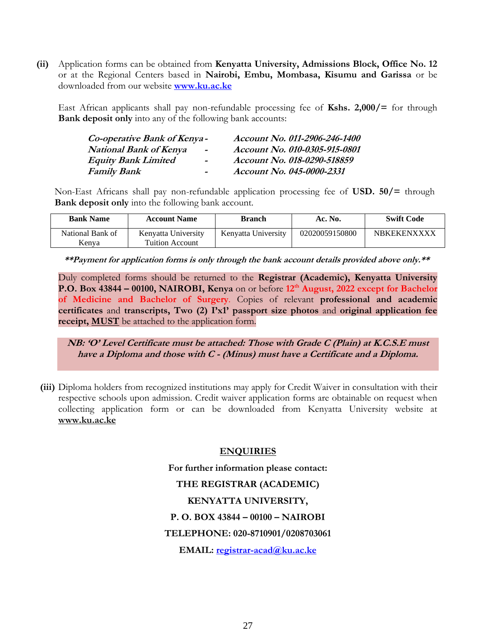**(ii)** Application forms can be obtained from **Kenyatta University, Admissions Block, Office No. 12** or at the Regional Centers based in **Nairobi, Embu, Mombasa, Kisumu and Garissa** or be downloaded from our website **[www.ku.ac.ke](http://www.ku.ac.ke/)**

East African applicants shall pay non-refundable processing fee of **Kshs. 2,000/=** for through **Bank deposit only** into any of the following bank accounts:

| Co-operative Bank of Kenya -  |                          | Account No. 011-2906-246-1400 |
|-------------------------------|--------------------------|-------------------------------|
| <b>National Bank of Kenya</b> | $\overline{\phantom{a}}$ | Account No. 010-0305-915-0801 |
| <b>Equity Bank Limited</b>    | $\blacksquare$           | Account No. 018-0290-518859   |
| <b>Family Bank</b>            | $\blacksquare$           | Account No. 045-0000-2331     |

Non-East Africans shall pay non-refundable application processing fee of **USD. 50/=** through **Bank deposit only** into the following bank account.

| <b>Bank Name</b> | <b>Account Name</b>    | <b>Branch</b>       | Ac. No.        | <b>Swift Code</b>  |
|------------------|------------------------|---------------------|----------------|--------------------|
| National Bank of | Kenyatta University    | Kenyatta University | 02020059150800 | <b>NBKEKENXXXX</b> |
| Kenva            | <b>Tuition Account</b> |                     |                |                    |

**\*\*Payment for application forms is only through the bank account details provided above only.\*\***

Duly completed forms should be returned to the **Registrar (Academic), Kenyatta University P.O. Box 43844 – 00100, NAIROBI, Kenya** on or before **12th August, 2022 except for Bachelor of Medicine and Bachelor of Surgery**. Copies of relevant **professional and academic certificates** and **transcripts, Two (2) I'x1' passport size photos** and **original application fee receipt, MUST** be attached to the application form.

**NB: 'O' Level Certificate must be attached: Those with Grade C (Plain) at K.C.S.E must have a Diploma and those with C - (Minus) must have a Certificate and a Diploma.**

**(iii)** Diploma holders from recognized institutions may apply for Credit Waiver in consultation with their respective schools upon admission. Credit waiver application forms are obtainable on request when collecting application form or can be downloaded from Kenyatta University website at **[www.ku.ac.ke](http://www.ku.ac.ke/)**

#### **ENQUIRIES**

**For further information please contact: THE REGISTRAR (ACADEMIC) KENYATTA UNIVERSITY, P. O. BOX 43844 – 00100 – NAIROBI TELEPHONE: 020-8710901/0208703061 EMAIL: [registrar-acad@ku.ac.ke](mailto:registrar-acad@ku.ac.ke)**